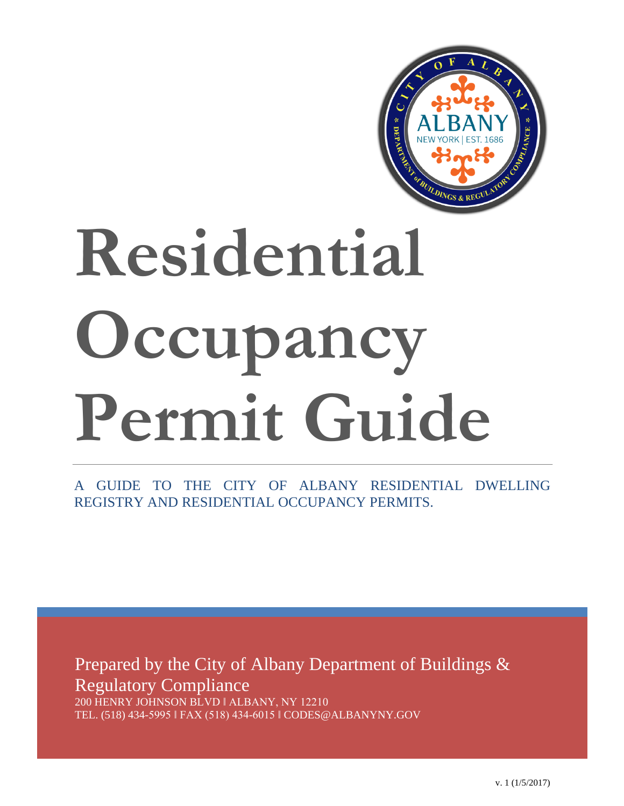

# **Residential Occupancy Permit Guide**

A GUIDE TO THE CITY OF ALBANY RESIDENTIAL DWELLING REGISTRY AND RESIDENTIAL OCCUPANCY PERMITS.

Prepared by the City of Albany Department of Buildings & Regulatory Compliance

200 HENRY JOHNSON BLVD ǁ ALBANY, NY 12210 TEL. (518) 434-5995 ǁ FAX (518) 434-6015 ǁ CODES@ALBANYNY.GOV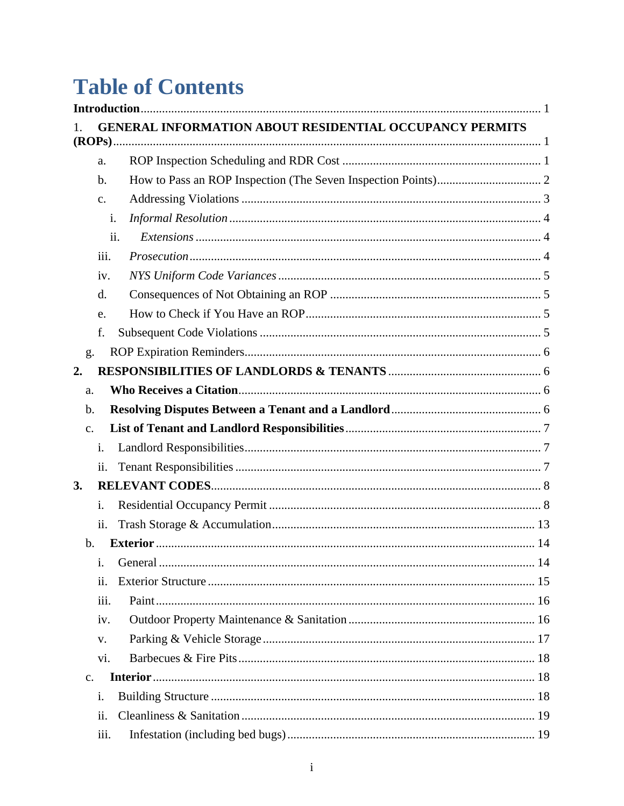# **Table of Contents**

|                |                | <b>GENERAL INFORMATION ABOUT RESIDENTIAL OCCUPANCY PERMITS</b> |  |  |  |  |
|----------------|----------------|----------------------------------------------------------------|--|--|--|--|
|                |                |                                                                |  |  |  |  |
|                | a.             |                                                                |  |  |  |  |
|                | b.             |                                                                |  |  |  |  |
|                | $\mathbf{c}$ . |                                                                |  |  |  |  |
|                | i.             |                                                                |  |  |  |  |
|                | ii.            |                                                                |  |  |  |  |
|                | iii.           |                                                                |  |  |  |  |
|                | iv.            |                                                                |  |  |  |  |
|                | d.             |                                                                |  |  |  |  |
|                | e.             |                                                                |  |  |  |  |
|                | f.             |                                                                |  |  |  |  |
| g.             |                |                                                                |  |  |  |  |
| 2.             |                |                                                                |  |  |  |  |
| a.             |                |                                                                |  |  |  |  |
| b.             |                |                                                                |  |  |  |  |
| $C_{\bullet}$  |                |                                                                |  |  |  |  |
|                | i.             |                                                                |  |  |  |  |
|                | ii.            |                                                                |  |  |  |  |
| 3.             |                |                                                                |  |  |  |  |
|                | i.             |                                                                |  |  |  |  |
|                | ii.            |                                                                |  |  |  |  |
| $\mathbf b$ .  |                |                                                                |  |  |  |  |
|                | 1.             |                                                                |  |  |  |  |
|                | ii.            |                                                                |  |  |  |  |
|                | iii.           |                                                                |  |  |  |  |
|                | iv.            |                                                                |  |  |  |  |
|                | V.             |                                                                |  |  |  |  |
|                | vi.            |                                                                |  |  |  |  |
| $\mathbf{c}$ . |                |                                                                |  |  |  |  |
|                | i.             |                                                                |  |  |  |  |
|                | ii.            |                                                                |  |  |  |  |
|                | iii.           |                                                                |  |  |  |  |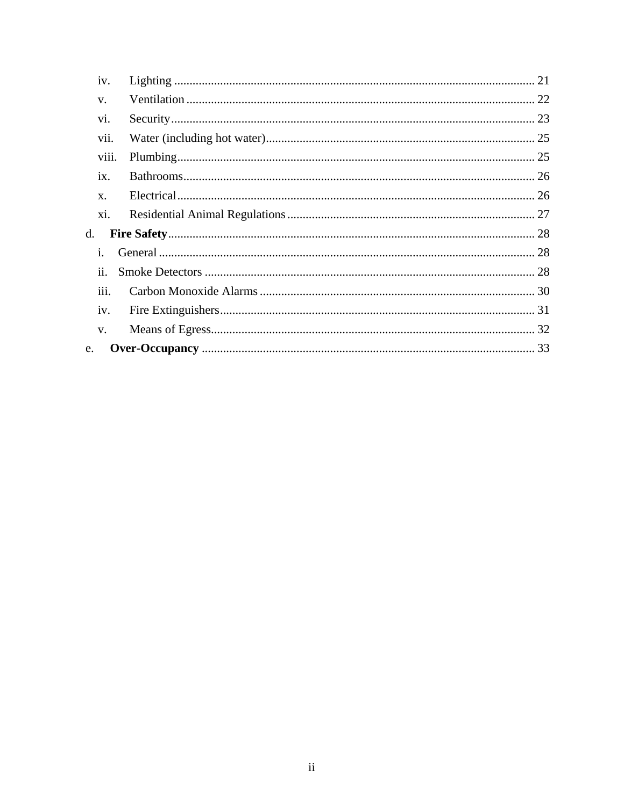<span id="page-2-0"></span>

| 1V.                |  |  |  |  |
|--------------------|--|--|--|--|
| V.                 |  |  |  |  |
| vi.                |  |  |  |  |
| vii.               |  |  |  |  |
| viii.              |  |  |  |  |
| ix.                |  |  |  |  |
| $X$ .              |  |  |  |  |
| xi.                |  |  |  |  |
| d.                 |  |  |  |  |
| İ.                 |  |  |  |  |
| $\overline{11}$ .  |  |  |  |  |
| $\overline{111}$ . |  |  |  |  |
| iv.                |  |  |  |  |
| V.                 |  |  |  |  |
| e.                 |  |  |  |  |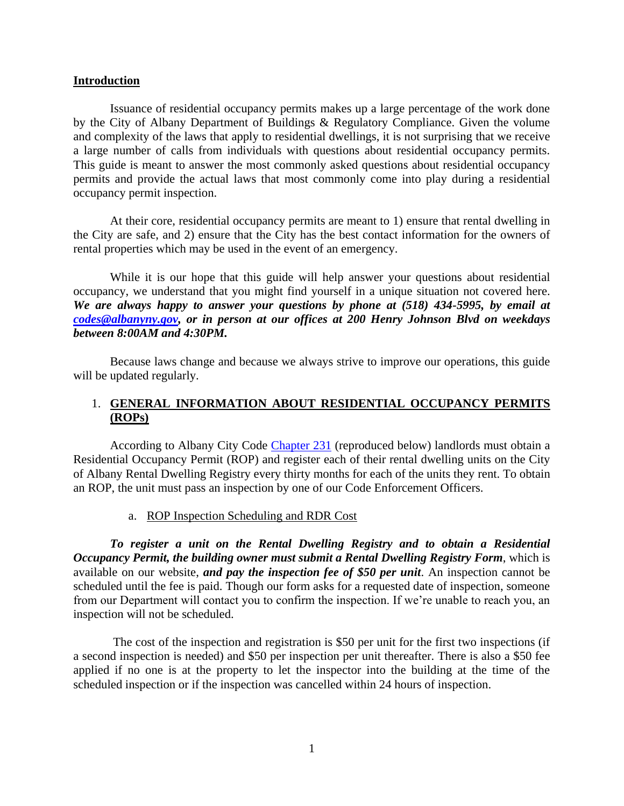#### **Introduction**

Issuance of residential occupancy permits makes up a large percentage of the work done by the City of Albany Department of Buildings & Regulatory Compliance. Given the volume and complexity of the laws that apply to residential dwellings, it is not surprising that we receive a large number of calls from individuals with questions about residential occupancy permits. This guide is meant to answer the most commonly asked questions about residential occupancy permits and provide the actual laws that most commonly come into play during a residential occupancy permit inspection.

At their core, residential occupancy permits are meant to 1) ensure that rental dwelling in the City are safe, and 2) ensure that the City has the best contact information for the owners of rental properties which may be used in the event of an emergency.

While it is our hope that this guide will help answer your questions about residential occupancy, we understand that you might find yourself in a unique situation not covered here. *We are always happy to answer your questions by phone at (518) 434-5995, by email at [codes@albanyny.gov,](mailto:codes@albanyny.gov) or in person at our offices at 200 Henry Johnson Blvd on weekdays between 8:00AM and 4:30PM.*

Because laws change and because we always strive to improve our operations, this guide will be updated regularly.

# <span id="page-3-0"></span>1. **GENERAL INFORMATION ABOUT RESIDENTIAL OCCUPANCY PERMITS (ROPs)**

According to Albany City Code [Chapter 231](http://ecode360.com/7683379) (reproduced below) landlords must obtain a Residential Occupancy Permit (ROP) and register each of their rental dwelling units on the City of Albany Rental Dwelling Registry every thirty months for each of the units they rent. To obtain an ROP, the unit must pass an inspection by one of our Code Enforcement Officers.

#### a. ROP Inspection Scheduling and RDR Cost

<span id="page-3-1"></span>*To register a unit on the Rental Dwelling Registry and to obtain a Residential Occupancy Permit, the building owner must submit a Rental Dwelling Registry Form*, which is available on our website, *and pay the inspection fee of \$50 per unit*. An inspection cannot be scheduled until the fee is paid. Though our form asks for a requested date of inspection, someone from our Department will contact you to confirm the inspection. If we're unable to reach you, an inspection will not be scheduled.

The cost of the inspection and registration is \$50 per unit for the first two inspections (if a second inspection is needed) and \$50 per inspection per unit thereafter. There is also a \$50 fee applied if no one is at the property to let the inspector into the building at the time of the scheduled inspection or if the inspection was cancelled within 24 hours of inspection.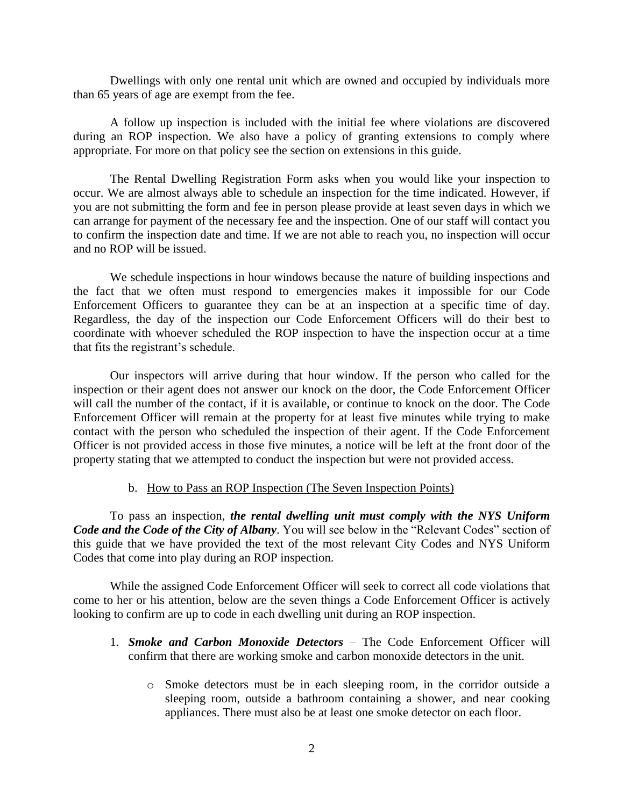Dwellings with only one rental unit which are owned and occupied by individuals more than 65 years of age are exempt from the fee.

A follow up inspection is included with the initial fee where violations are discovered during an ROP inspection. We also have a policy of granting extensions to comply where appropriate. For more on that policy see the section on extensions in this guide.

The Rental Dwelling Registration Form asks when you would like your inspection to occur. We are almost always able to schedule an inspection for the time indicated. However, if you are not submitting the form and fee in person please provide at least seven days in which we can arrange for payment of the necessary fee and the inspection. One of our staff will contact you to confirm the inspection date and time. If we are not able to reach you, no inspection will occur and no ROP will be issued.

We schedule inspections in hour windows because the nature of building inspections and the fact that we often must respond to emergencies makes it impossible for our Code Enforcement Officers to guarantee they can be at an inspection at a specific time of day. Regardless, the day of the inspection our Code Enforcement Officers will do their best to coordinate with whoever scheduled the ROP inspection to have the inspection occur at a time that fits the registrant's schedule.

Our inspectors will arrive during that hour window. If the person who called for the inspection or their agent does not answer our knock on the door, the Code Enforcement Officer will call the number of the contact, if it is available, or continue to knock on the door. The Code Enforcement Officer will remain at the property for at least five minutes while trying to make contact with the person who scheduled the inspection of their agent. If the Code Enforcement Officer is not provided access in those five minutes, a notice will be left at the front door of the property stating that we attempted to conduct the inspection but were not provided access.

# b. How to Pass an ROP Inspection (The Seven Inspection Points)

<span id="page-4-0"></span>To pass an inspection, *the rental dwelling unit must comply with the NYS Uniform Code and the Code of the City of Albany*. You will see below in the "Relevant Codes" section of this guide that we have provided the text of the most relevant City Codes and NYS Uniform Codes that come into play during an ROP inspection.

While the assigned Code Enforcement Officer will seek to correct all code violations that come to her or his attention, below are the seven things a Code Enforcement Officer is actively looking to confirm are up to code in each dwelling unit during an ROP inspection.

- 1. *Smoke and Carbon Monoxide Detectors* The Code Enforcement Officer will confirm that there are working smoke and carbon monoxide detectors in the unit.
	- o Smoke detectors must be in each sleeping room, in the corridor outside a sleeping room, outside a bathroom containing a shower, and near cooking appliances. There must also be at least one smoke detector on each floor.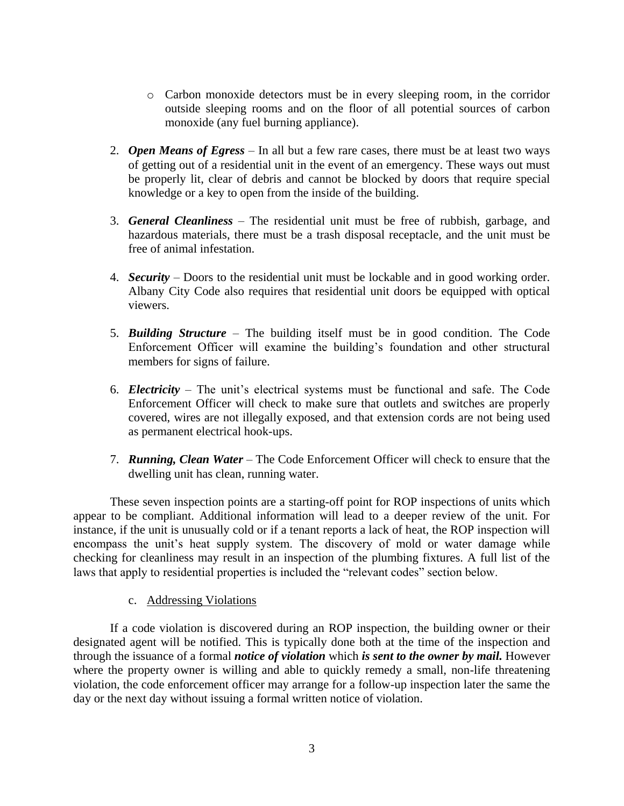- o Carbon monoxide detectors must be in every sleeping room, in the corridor outside sleeping rooms and on the floor of all potential sources of carbon monoxide (any fuel burning appliance).
- 2. *Open Means of Egress* In all but a few rare cases, there must be at least two ways of getting out of a residential unit in the event of an emergency. These ways out must be properly lit, clear of debris and cannot be blocked by doors that require special knowledge or a key to open from the inside of the building.
- 3. *General Cleanliness* The residential unit must be free of rubbish, garbage, and hazardous materials, there must be a trash disposal receptacle, and the unit must be free of animal infestation.
- 4. *Security*  Doors to the residential unit must be lockable and in good working order. Albany City Code also requires that residential unit doors be equipped with optical viewers.
- 5. *Building Structure* The building itself must be in good condition. The Code Enforcement Officer will examine the building's foundation and other structural members for signs of failure.
- 6. *Electricity*  The unit's electrical systems must be functional and safe. The Code Enforcement Officer will check to make sure that outlets and switches are properly covered, wires are not illegally exposed, and that extension cords are not being used as permanent electrical hook-ups.
- 7. *Running, Clean Water* The Code Enforcement Officer will check to ensure that the dwelling unit has clean, running water.

These seven inspection points are a starting-off point for ROP inspections of units which appear to be compliant. Additional information will lead to a deeper review of the unit. For instance, if the unit is unusually cold or if a tenant reports a lack of heat, the ROP inspection will encompass the unit's heat supply system. The discovery of mold or water damage while checking for cleanliness may result in an inspection of the plumbing fixtures. A full list of the laws that apply to residential properties is included the "relevant codes" section below.

# c. Addressing Violations

<span id="page-5-0"></span>If a code violation is discovered during an ROP inspection, the building owner or their designated agent will be notified. This is typically done both at the time of the inspection and through the issuance of a formal *notice of violation* which *is sent to the owner by mail.* However where the property owner is willing and able to quickly remedy a small, non-life threatening violation, the code enforcement officer may arrange for a follow-up inspection later the same the day or the next day without issuing a formal written notice of violation.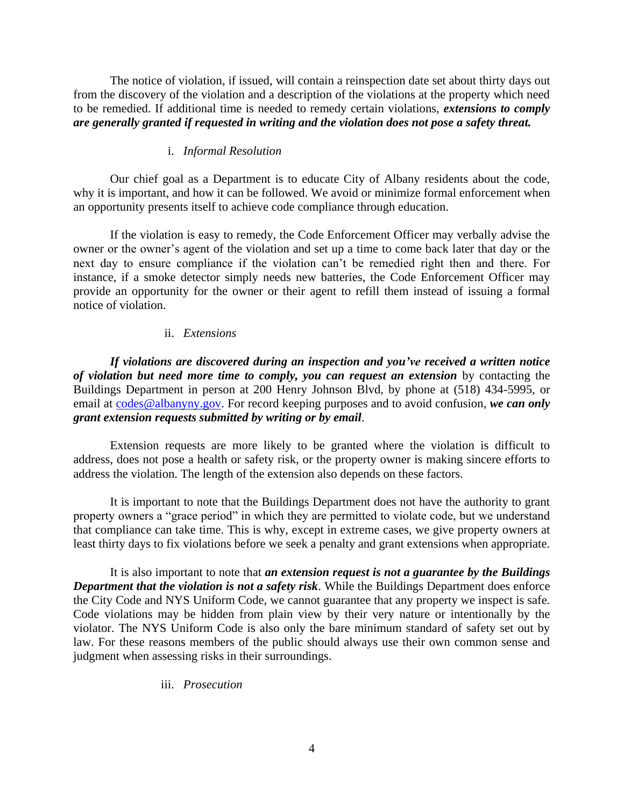The notice of violation, if issued, will contain a reinspection date set about thirty days out from the discovery of the violation and a description of the violations at the property which need to be remedied. If additional time is needed to remedy certain violations, *extensions to comply are generally granted if requested in writing and the violation does not pose a safety threat.*

#### i. *Informal Resolution*

<span id="page-6-0"></span>Our chief goal as a Department is to educate City of Albany residents about the code, why it is important, and how it can be followed. We avoid or minimize formal enforcement when an opportunity presents itself to achieve code compliance through education.

If the violation is easy to remedy, the Code Enforcement Officer may verbally advise the owner or the owner's agent of the violation and set up a time to come back later that day or the next day to ensure compliance if the violation can't be remedied right then and there. For instance, if a smoke detector simply needs new batteries, the Code Enforcement Officer may provide an opportunity for the owner or their agent to refill them instead of issuing a formal notice of violation.

#### ii. *Extensions*

<span id="page-6-1"></span>*If violations are discovered during an inspection and you've received a written notice of violation but need more time to comply, you can request an extension* by contacting the Buildings Department in person at 200 Henry Johnson Blvd, by phone at (518) 434-5995, or email at [codes@albanyny.gov.](mailto:codes@albanyny.gov) For record keeping purposes and to avoid confusion, *we can only grant extension requests submitted by writing or by email*.

Extension requests are more likely to be granted where the violation is difficult to address, does not pose a health or safety risk, or the property owner is making sincere efforts to address the violation. The length of the extension also depends on these factors.

It is important to note that the Buildings Department does not have the authority to grant property owners a "grace period" in which they are permitted to violate code, but we understand that compliance can take time. This is why, except in extreme cases, we give property owners at least thirty days to fix violations before we seek a penalty and grant extensions when appropriate.

It is also important to note that *an extension request is not a guarantee by the Buildings Department that the violation is not a safety risk*. While the Buildings Department does enforce the City Code and NYS Uniform Code, we cannot guarantee that any property we inspect is safe. Code violations may be hidden from plain view by their very nature or intentionally by the violator. The NYS Uniform Code is also only the bare minimum standard of safety set out by law. For these reasons members of the public should always use their own common sense and judgment when assessing risks in their surroundings.

# <span id="page-6-2"></span>iii. *Prosecution*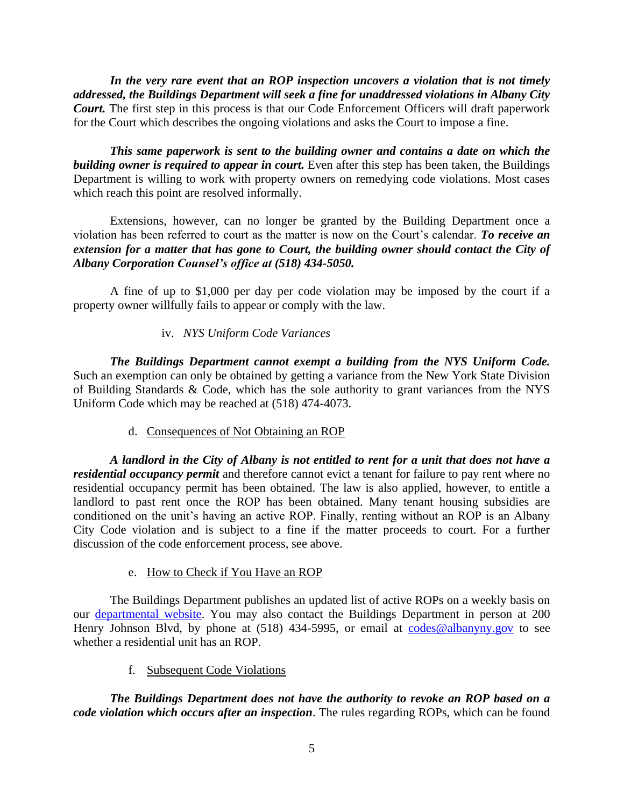*In the very rare event that an ROP inspection uncovers a violation that is not timely addressed, the Buildings Department will seek a fine for unaddressed violations in Albany City Court.* The first step in this process is that our Code Enforcement Officers will draft paperwork for the Court which describes the ongoing violations and asks the Court to impose a fine.

*This same paperwork is sent to the building owner and contains a date on which the building owner is required to appear in court.* Even after this step has been taken, the Buildings Department is willing to work with property owners on remedying code violations. Most cases which reach this point are resolved informally.

Extensions, however, can no longer be granted by the Building Department once a violation has been referred to court as the matter is now on the Court's calendar. *To receive an extension for a matter that has gone to Court, the building owner should contact the City of Albany Corporation Counsel's office at (518) 434-5050.*

A fine of up to \$1,000 per day per code violation may be imposed by the court if a property owner willfully fails to appear or comply with the law.

# iv. *NYS Uniform Code Variances*

<span id="page-7-0"></span>*The Buildings Department cannot exempt a building from the NYS Uniform Code.* Such an exemption can only be obtained by getting a variance from the New York State Division of Building Standards & Code, which has the sole authority to grant variances from the NYS Uniform Code which may be reached at (518) 474-4073.

# d. Consequences of Not Obtaining an ROP

<span id="page-7-1"></span>*A landlord in the City of Albany is not entitled to rent for a unit that does not have a residential occupancy permit* and therefore cannot evict a tenant for failure to pay rent where no residential occupancy permit has been obtained. The law is also applied, however, to entitle a landlord to past rent once the ROP has been obtained. Many tenant housing subsidies are conditioned on the unit's having an active ROP. Finally, renting without an ROP is an Albany City Code violation and is subject to a fine if the matter proceeds to court. For a further discussion of the code enforcement process, see above.

# e. How to Check if You Have an ROP

<span id="page-7-2"></span>The Buildings Department publishes an updated list of active ROPs on a weekly basis on our [departmental website.](http://www.albanyny.gov/Government/Departments/DivisionOfBuildingsAndRegulatoryCompliance.aspx) You may also contact the Buildings Department in person at 200 Henry Johnson Blvd, by phone at (518) 434-5995, or email at [codes@albanyny.gov](mailto:codes@albanyny.gov) to see whether a residential unit has an ROP.

f. Subsequent Code Violations

<span id="page-7-3"></span>*The Buildings Department does not have the authority to revoke an ROP based on a code violation which occurs after an inspection*. The rules regarding ROPs, which can be found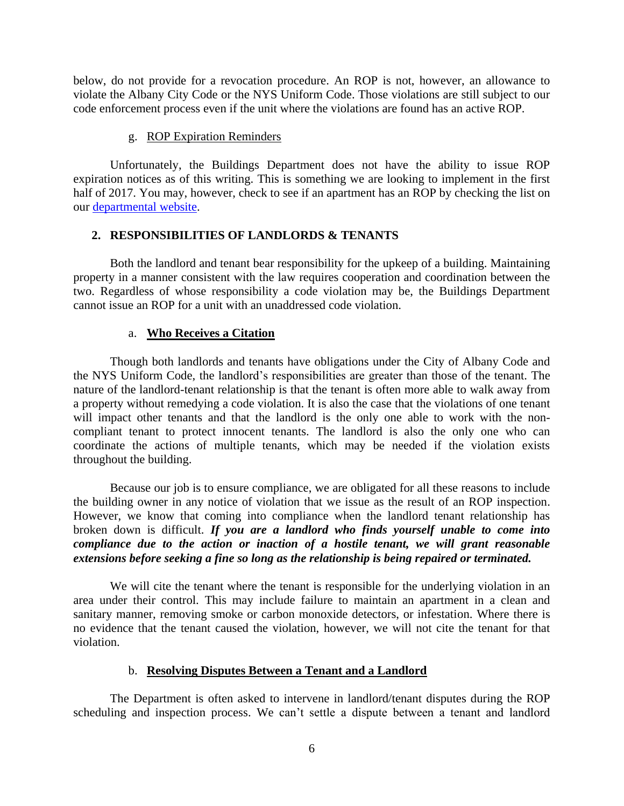below, do not provide for a revocation procedure. An ROP is not, however, an allowance to violate the Albany City Code or the NYS Uniform Code. Those violations are still subject to our code enforcement process even if the unit where the violations are found has an active ROP.

#### g. ROP Expiration Reminders

<span id="page-8-0"></span>Unfortunately, the Buildings Department does not have the ability to issue ROP expiration notices as of this writing. This is something we are looking to implement in the first half of 2017. You may, however, check to see if an apartment has an ROP by checking the list on our [departmental website.](http://www.albanyny.gov/Government/Departments/DivisionOfBuildingsAndRegulatoryCompliance.aspx)

# <span id="page-8-1"></span>**2. RESPONSIBILITIES OF LANDLORDS & TENANTS**

Both the landlord and tenant bear responsibility for the upkeep of a building. Maintaining property in a manner consistent with the law requires cooperation and coordination between the two. Regardless of whose responsibility a code violation may be, the Buildings Department cannot issue an ROP for a unit with an unaddressed code violation.

#### a. **Who Receives a Citation**

<span id="page-8-2"></span>Though both landlords and tenants have obligations under the City of Albany Code and the NYS Uniform Code, the landlord's responsibilities are greater than those of the tenant. The nature of the landlord-tenant relationship is that the tenant is often more able to walk away from a property without remedying a code violation. It is also the case that the violations of one tenant will impact other tenants and that the landlord is the only one able to work with the noncompliant tenant to protect innocent tenants. The landlord is also the only one who can coordinate the actions of multiple tenants, which may be needed if the violation exists throughout the building.

Because our job is to ensure compliance, we are obligated for all these reasons to include the building owner in any notice of violation that we issue as the result of an ROP inspection. However, we know that coming into compliance when the landlord tenant relationship has broken down is difficult. *If you are a landlord who finds yourself unable to come into compliance due to the action or inaction of a hostile tenant, we will grant reasonable extensions before seeking a fine so long as the relationship is being repaired or terminated.* 

We will cite the tenant where the tenant is responsible for the underlying violation in an area under their control. This may include failure to maintain an apartment in a clean and sanitary manner, removing smoke or carbon monoxide detectors, or infestation. Where there is no evidence that the tenant caused the violation, however, we will not cite the tenant for that violation.

#### b. **Resolving Disputes Between a Tenant and a Landlord**

<span id="page-8-3"></span>The Department is often asked to intervene in landlord/tenant disputes during the ROP scheduling and inspection process. We can't settle a dispute between a tenant and landlord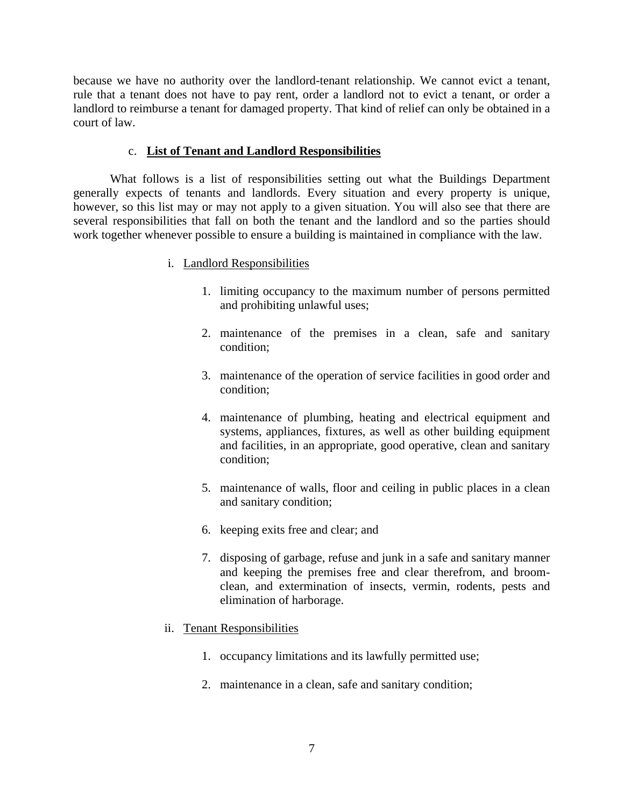because we have no authority over the landlord-tenant relationship. We cannot evict a tenant, rule that a tenant does not have to pay rent, order a landlord not to evict a tenant, or order a landlord to reimburse a tenant for damaged property. That kind of relief can only be obtained in a court of law.

# c. **List of Tenant and Landlord Responsibilities**

<span id="page-9-1"></span><span id="page-9-0"></span>What follows is a list of responsibilities setting out what the Buildings Department generally expects of tenants and landlords. Every situation and every property is unique, however, so this list may or may not apply to a given situation. You will also see that there are several responsibilities that fall on both the tenant and the landlord and so the parties should work together whenever possible to ensure a building is maintained in compliance with the law.

# i. Landlord Responsibilities

- 1. limiting occupancy to the maximum number of persons permitted and prohibiting unlawful uses;
- 2. maintenance of the premises in a clean, safe and sanitary condition;
- 3. maintenance of the operation of service facilities in good order and condition;
- 4. maintenance of plumbing, heating and electrical equipment and systems, appliances, fixtures, as well as other building equipment and facilities, in an appropriate, good operative, clean and sanitary condition;
- 5. maintenance of walls, floor and ceiling in public places in a clean and sanitary condition;
- 6. keeping exits free and clear; and
- 7. disposing of garbage, refuse and junk in a safe and sanitary manner and keeping the premises free and clear therefrom, and broomclean, and extermination of insects, vermin, rodents, pests and elimination of harborage.
- <span id="page-9-2"></span>ii. Tenant Responsibilities
	- 1. occupancy limitations and its lawfully permitted use;
	- 2. maintenance in a clean, safe and sanitary condition;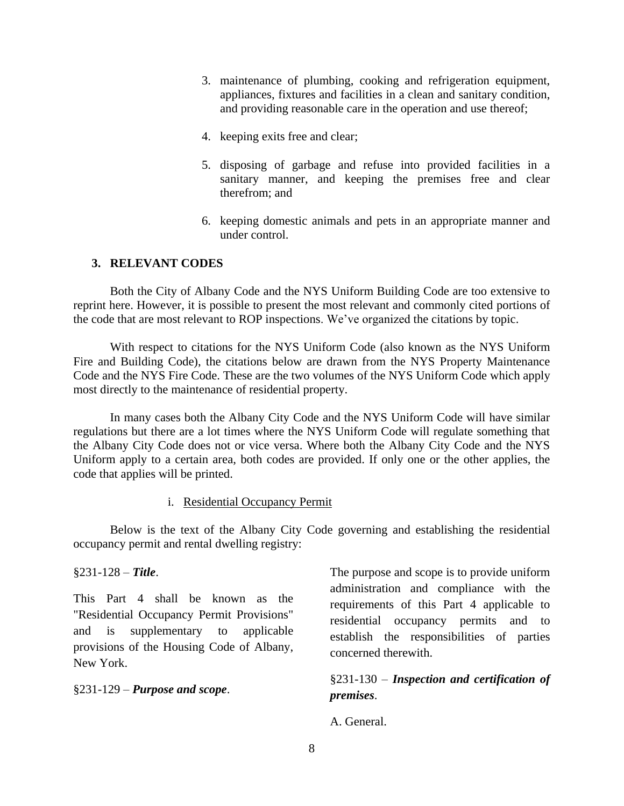- 3. maintenance of plumbing, cooking and refrigeration equipment, appliances, fixtures and facilities in a clean and sanitary condition, and providing reasonable care in the operation and use thereof;
- 4. keeping exits free and clear;
- 5. disposing of garbage and refuse into provided facilities in a sanitary manner, and keeping the premises free and clear therefrom; and
- 6. keeping domestic animals and pets in an appropriate manner and under control.

# <span id="page-10-0"></span>**3. RELEVANT CODES**

Both the City of Albany Code and the NYS Uniform Building Code are too extensive to reprint here. However, it is possible to present the most relevant and commonly cited portions of the code that are most relevant to ROP inspections. We've organized the citations by topic.

With respect to citations for the NYS Uniform Code (also known as the NYS Uniform Fire and Building Code), the citations below are drawn from the NYS Property Maintenance Code and the NYS Fire Code. These are the two volumes of the NYS Uniform Code which apply most directly to the maintenance of residential property.

In many cases both the Albany City Code and the NYS Uniform Code will have similar regulations but there are a lot times where the NYS Uniform Code will regulate something that the Albany City Code does not or vice versa. Where both the Albany City Code and the NYS Uniform apply to a certain area, both codes are provided. If only one or the other applies, the code that applies will be printed.

# i. Residential Occupancy Permit

<span id="page-10-1"></span>Below is the text of the Albany City Code governing and establishing the residential occupancy permit and rental dwelling registry:

§231-128 – *Title*.

This Part 4 shall be known as the "Residential Occupancy Permit Provisions" and is supplementary to applicable provisions of the Housing Code of Albany, New York.

§231-129 – *Purpose and scope*.

The purpose and scope is to provide uniform administration and compliance with the requirements of this Part 4 applicable to residential occupancy permits and to establish the responsibilities of parties concerned therewith.

§231-130 – *Inspection and certification of premises*.

A. General.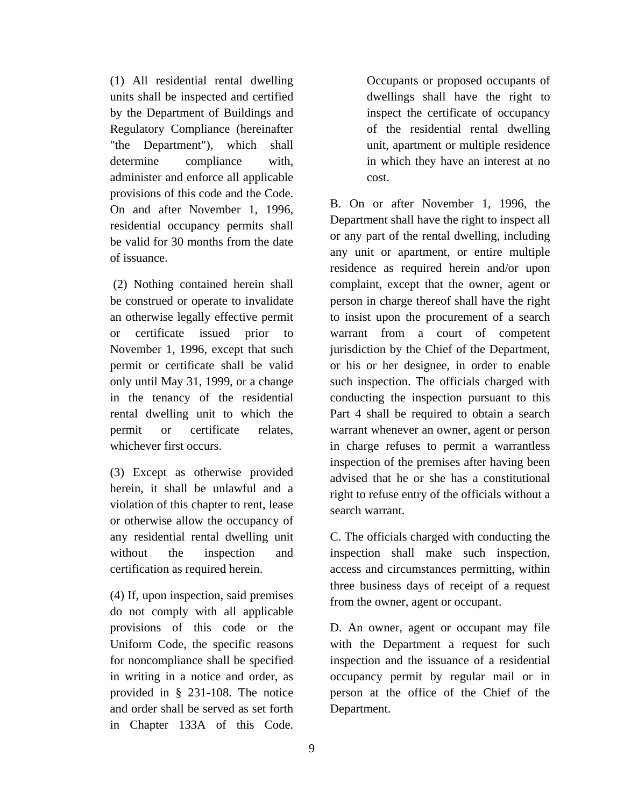(1) All residential rental dwelling units shall be inspected and certified by the Department of Buildings and Regulatory Compliance (hereinafter "the Department"), which shall determine compliance with, administer and enforce all applicable provisions of this code and the Code. On and after November 1, 1996, residential occupancy permits shall be valid for 30 months from the date of issuance.

(2) Nothing contained herein shall be construed or operate to invalidate an otherwise legally effective permit or certificate issued prior to November 1, 1996, except that such permit or certificate shall be valid only until May 31, 1999, or a change in the tenancy of the residential rental dwelling unit to which the permit or certificate relates, whichever first occurs.

(3) Except as otherwise provided herein, it shall be unlawful and a violation of this chapter to rent, lease or otherwise allow the occupancy of any residential rental dwelling unit without the inspection and certification as required herein.

(4) If, upon inspection, said premises do not comply with all applicable provisions of this code or the Uniform Code, the specific reasons for noncompliance shall be specified in writing in a notice and order, as provided in § 231-108. The notice and order shall be served as set forth in Chapter 133A of this Code. Occupants or proposed occupants of dwellings shall have the right to inspect the certificate of occupancy of the residential rental dwelling unit, apartment or multiple residence in which they have an interest at no cost.

B. On or after November 1, 1996, the Department shall have the right to inspect all or any part of the rental dwelling, including any unit or apartment, or entire multiple residence as required herein and/or upon complaint, except that the owner, agent or person in charge thereof shall have the right to insist upon the procurement of a search warrant from a court of competent jurisdiction by the Chief of the Department, or his or her designee, in order to enable such inspection. The officials charged with conducting the inspection pursuant to this Part 4 shall be required to obtain a search warrant whenever an owner, agent or person in charge refuses to permit a warrantless inspection of the premises after having been advised that he or she has a constitutional right to refuse entry of the officials without a search warrant.

C. The officials charged with conducting the inspection shall make such inspection, access and circumstances permitting, within three business days of receipt of a request from the owner, agent or occupant.

D. An owner, agent or occupant may file with the Department a request for such inspection and the issuance of a residential occupancy permit by regular mail or in person at the office of the Chief of the Department.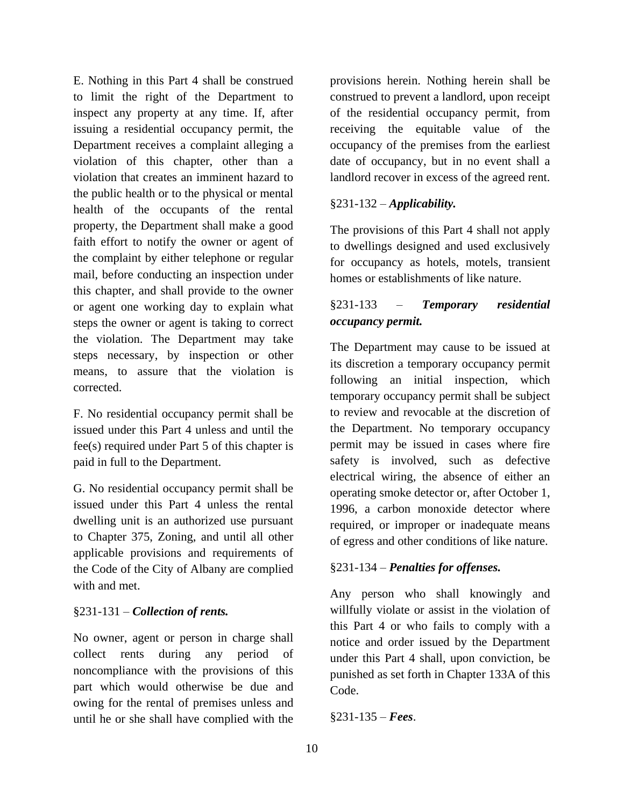E. Nothing in this Part 4 shall be construed to limit the right of the Department to inspect any property at any time. If, after issuing a residential occupancy permit, the Department receives a complaint alleging a violation of this chapter, other than a violation that creates an imminent hazard to the public health or to the physical or mental health of the occupants of the rental property, the Department shall make a good faith effort to notify the owner or agent of the complaint by either telephone or regular mail, before conducting an inspection under this chapter, and shall provide to the owner or agent one working day to explain what steps the owner or agent is taking to correct the violation. The Department may take steps necessary, by inspection or other means, to assure that the violation is corrected.

F. No residential occupancy permit shall be issued under this Part 4 unless and until the fee(s) required under Part 5 of this chapter is paid in full to the Department.

G. No residential occupancy permit shall be issued under this Part 4 unless the rental dwelling unit is an authorized use pursuant to Chapter 375, Zoning, and until all other applicable provisions and requirements of the Code of the City of Albany are complied with and met.

# §231-131 – *Collection of rents.*

No owner, agent or person in charge shall collect rents during any period of noncompliance with the provisions of this part which would otherwise be due and owing for the rental of premises unless and until he or she shall have complied with the

provisions herein. Nothing herein shall be construed to prevent a landlord, upon receipt of the residential occupancy permit, from receiving the equitable value of the occupancy of the premises from the earliest date of occupancy, but in no event shall a landlord recover in excess of the agreed rent.

# §231-132 – *Applicability.*

The provisions of this Part 4 shall not apply to dwellings designed and used exclusively for occupancy as hotels, motels, transient homes or establishments of like nature.

# §231-133 – *Temporary residential occupancy permit.*

The Department may cause to be issued at its discretion a temporary occupancy permit following an initial inspection, which temporary occupancy permit shall be subject to review and revocable at the discretion of the Department. No temporary occupancy permit may be issued in cases where fire safety is involved, such as defective electrical wiring, the absence of either an operating smoke detector or, after October 1, 1996, a carbon monoxide detector where required, or improper or inadequate means of egress and other conditions of like nature.

# §231-134 – *Penalties for offenses.*

Any person who shall knowingly and willfully violate or assist in the violation of this Part 4 or who fails to comply with a notice and order issued by the Department under this Part 4 shall, upon conviction, be punished as set forth in Chapter 133A of this Code.

# §231-135 – *Fees*.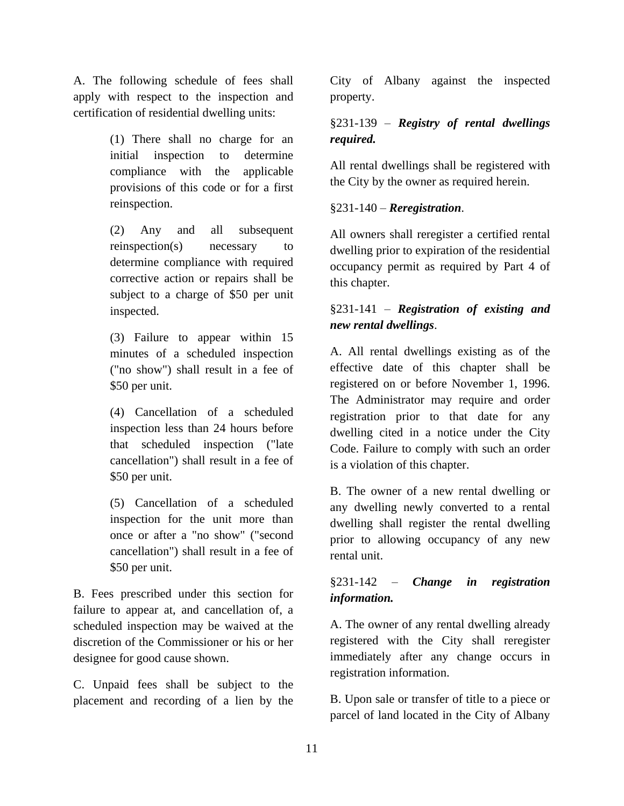A. The following schedule of fees shall apply with respect to the inspection and certification of residential dwelling units:

> (1) There shall no charge for an initial inspection to determine compliance with the applicable provisions of this code or for a first reinspection.

> (2) Any and all subsequent reinspection(s) necessary to determine compliance with required corrective action or repairs shall be subject to a charge of \$50 per unit inspected.

> (3) Failure to appear within 15 minutes of a scheduled inspection ("no show") shall result in a fee of \$50 per unit.

> (4) Cancellation of a scheduled inspection less than 24 hours before that scheduled inspection ("late cancellation") shall result in a fee of \$50 per unit.

> (5) Cancellation of a scheduled inspection for the unit more than once or after a "no show" ("second cancellation") shall result in a fee of \$50 per unit.

B. Fees prescribed under this section for failure to appear at, and cancellation of, a scheduled inspection may be waived at the discretion of the Commissioner or his or her designee for good cause shown.

C. Unpaid fees shall be subject to the placement and recording of a lien by the

City of Albany against the inspected property.

# §231-139 – *Registry of rental dwellings required.*

All rental dwellings shall be registered with the City by the owner as required herein.

# §231-140 – *Reregistration*.

All owners shall reregister a certified rental dwelling prior to expiration of the residential occupancy permit as required by Part 4 of this chapter.

# §231-141 – *Registration of existing and new rental dwellings*.

A. All rental dwellings existing as of the effective date of this chapter shall be registered on or before November 1, 1996. The Administrator may require and order registration prior to that date for any dwelling cited in a notice under the City Code. Failure to comply with such an order is a violation of this chapter.

B. The owner of a new rental dwelling or any dwelling newly converted to a rental dwelling shall register the rental dwelling prior to allowing occupancy of any new rental unit.

# §231-142 – *Change in registration information.*

A. The owner of any rental dwelling already registered with the City shall reregister immediately after any change occurs in registration information.

B. Upon sale or transfer of title to a piece or parcel of land located in the City of Albany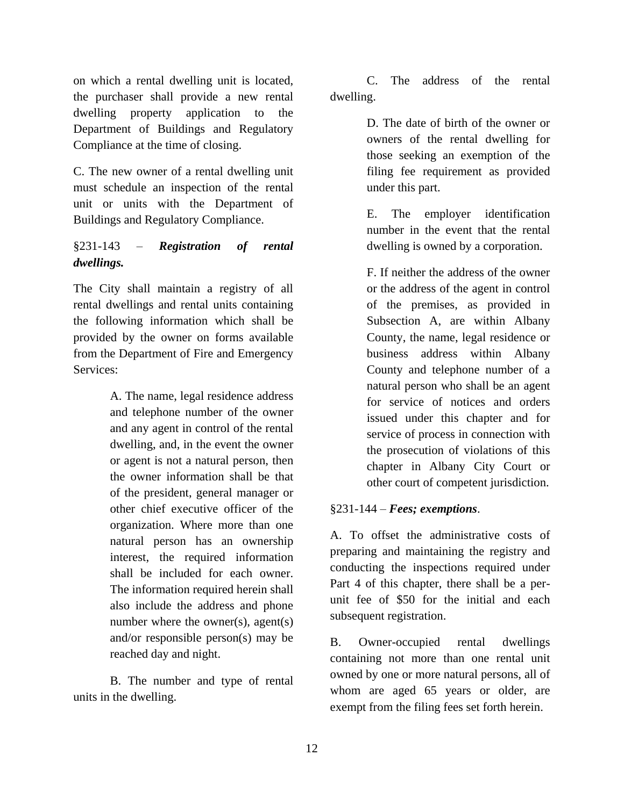on which a rental dwelling unit is located, the purchaser shall provide a new rental dwelling property application to the Department of Buildings and Regulatory Compliance at the time of closing.

C. The new owner of a rental dwelling unit must schedule an inspection of the rental unit or units with the Department of Buildings and Regulatory Compliance.

# §231-143 – *Registration of rental dwellings.*

The City shall maintain a registry of all rental dwellings and rental units containing the following information which shall be provided by the owner on forms available from the Department of Fire and Emergency Services:

> A. The name, legal residence address and telephone number of the owner and any agent in control of the rental dwelling, and, in the event the owner or agent is not a natural person, then the owner information shall be that of the president, general manager or other chief executive officer of the organization. Where more than one natural person has an ownership interest, the required information shall be included for each owner. The information required herein shall also include the address and phone number where the owner(s), agent(s) and/or responsible person(s) may be reached day and night.

B. The number and type of rental units in the dwelling.

C. The address of the rental dwelling.

> D. The date of birth of the owner or owners of the rental dwelling for those seeking an exemption of the filing fee requirement as provided under this part.

> E. The employer identification number in the event that the rental dwelling is owned by a corporation.

> F. If neither the address of the owner or the address of the agent in control of the premises, as provided in Subsection A, are within Albany County, the name, legal residence or business address within Albany County and telephone number of a natural person who shall be an agent for service of notices and orders issued under this chapter and for service of process in connection with the prosecution of violations of this chapter in Albany City Court or other court of competent jurisdiction.

# §231-144 – *Fees; exemptions*.

A. To offset the administrative costs of preparing and maintaining the registry and conducting the inspections required under Part 4 of this chapter, there shall be a perunit fee of \$50 for the initial and each subsequent registration.

B. Owner-occupied rental dwellings containing not more than one rental unit owned by one or more natural persons, all of whom are aged 65 years or older, are exempt from the filing fees set forth herein.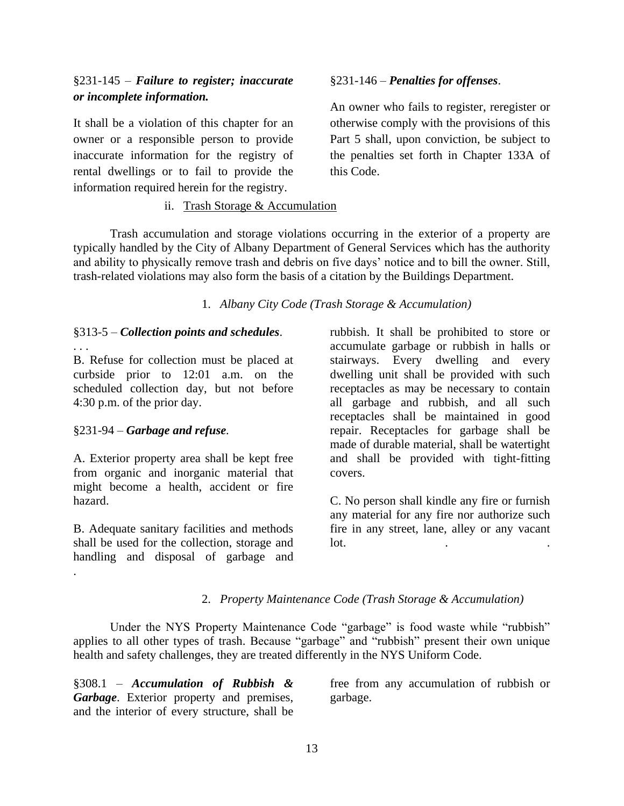# §231-145 – *Failure to register; inaccurate or incomplete information.*

It shall be a violation of this chapter for an owner or a responsible person to provide inaccurate information for the registry of rental dwellings or to fail to provide the information required herein for the registry.

# §231-146 – *Penalties for offenses*.

An owner who fails to register, reregister or otherwise comply with the provisions of this Part 5 shall, upon conviction, be subject to the penalties set forth in Chapter 133A of this Code.

# ii. Trash Storage & Accumulation

<span id="page-15-0"></span>Trash accumulation and storage violations occurring in the exterior of a property are typically handled by the City of Albany Department of General Services which has the authority and ability to physically remove trash and debris on five days' notice and to bill the owner. Still, trash-related violations may also form the basis of a citation by the Buildings Department.

1. *Albany City Code (Trash Storage & Accumulation)*

# §313-5 – *Collection points and schedules*.

B. Refuse for collection must be placed at curbside prior to 12:01 a.m. on the scheduled collection day, but not before 4:30 p.m. of the prior day.

# §231-94 – *Garbage and refuse.*

. . .

.

A. Exterior property area shall be kept free from organic and inorganic material that might become a health, accident or fire hazard.

B. Adequate sanitary facilities and methods shall be used for the collection, storage and handling and disposal of garbage and

rubbish. It shall be prohibited to store or accumulate garbage or rubbish in halls or stairways. Every dwelling and every dwelling unit shall be provided with such receptacles as may be necessary to contain all garbage and rubbish, and all such receptacles shall be maintained in good repair. Receptacles for garbage shall be made of durable material, shall be watertight and shall be provided with tight-fitting covers.

C. No person shall kindle any fire or furnish any material for any fire nor authorize such fire in any street, lane, alley or any vacant  $\int$ lot.  $\int$  .  $\int$  .  $\int$  .  $\int$  .  $\int$  .  $\int$  .  $\int$  .  $\int$  .  $\int$  .  $\int$  .  $\int$  .  $\int$  .  $\int$  .  $\int$  .  $\int$  .  $\int$  .  $\int$  .  $\int$  .  $\int$  .  $\int$  .  $\int$  .  $\int$  .  $\int$  .  $\int$  .  $\int$  .  $\int$  .  $\int$  .  $\int$  .  $\int$  .  $\int$  .  $\$ 

# 2. *Property Maintenance Code (Trash Storage & Accumulation)*

Under the NYS Property Maintenance Code "garbage" is food waste while "rubbish" applies to all other types of trash. Because "garbage" and "rubbish" present their own unique health and safety challenges, they are treated differently in the NYS Uniform Code.

§308.1 – *Accumulation of Rubbish & Garbage*. Exterior property and premises, and the interior of every structure, shall be free from any accumulation of rubbish or garbage.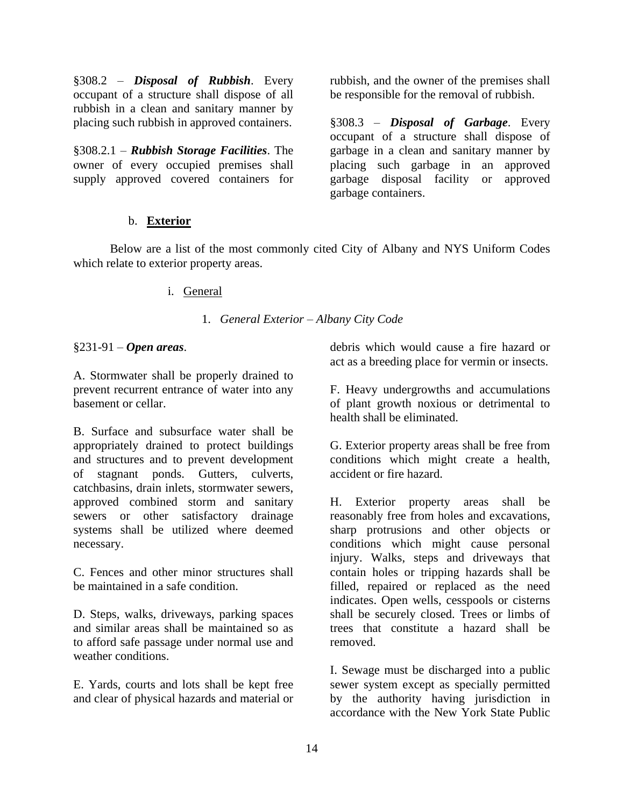§308.2 – *Disposal of Rubbish*. Every occupant of a structure shall dispose of all rubbish in a clean and sanitary manner by placing such rubbish in approved containers.

§308.2.1 – *Rubbish Storage Facilities*. The owner of every occupied premises shall supply approved covered containers for

b. **Exterior**

rubbish, and the owner of the premises shall be responsible for the removal of rubbish.

§308.3 – *Disposal of Garbage*. Every occupant of a structure shall dispose of garbage in a clean and sanitary manner by placing such garbage in an approved garbage disposal facility or approved garbage containers.

<span id="page-16-1"></span><span id="page-16-0"></span>Below are a list of the most commonly cited City of Albany and NYS Uniform Codes which relate to exterior property areas.

i. General

1. *General Exterior – Albany City Code*

§231-91 – *Open areas*.

A. Stormwater shall be properly drained to prevent recurrent entrance of water into any basement or cellar.

B. Surface and subsurface water shall be appropriately drained to protect buildings and structures and to prevent development of stagnant ponds. Gutters, culverts, catchbasins, drain inlets, stormwater sewers, approved combined storm and sanitary sewers or other satisfactory drainage systems shall be utilized where deemed necessary.

C. Fences and other minor structures shall be maintained in a safe condition.

D. Steps, walks, driveways, parking spaces and similar areas shall be maintained so as to afford safe passage under normal use and weather conditions.

E. Yards, courts and lots shall be kept free and clear of physical hazards and material or debris which would cause a fire hazard or act as a breeding place for vermin or insects.

F. Heavy undergrowths and accumulations of plant growth noxious or detrimental to health shall be eliminated.

G. Exterior property areas shall be free from conditions which might create a health, accident or fire hazard.

H. Exterior property areas shall be reasonably free from holes and excavations, sharp protrusions and other objects or conditions which might cause personal injury. Walks, steps and driveways that contain holes or tripping hazards shall be filled, repaired or replaced as the need indicates. Open wells, cesspools or cisterns shall be securely closed. Trees or limbs of trees that constitute a hazard shall be removed.

I. Sewage must be discharged into a public sewer system except as specially permitted by the authority having jurisdiction in accordance with the New York State Public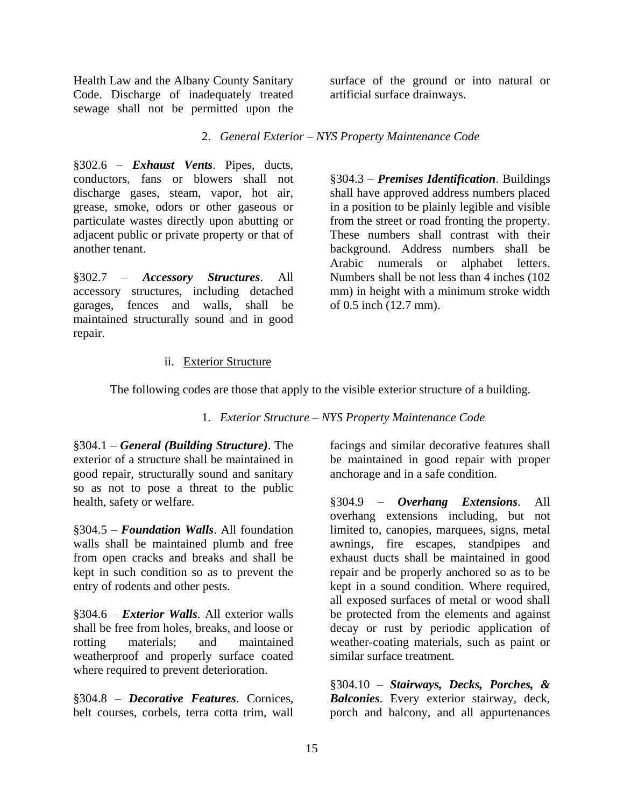Health Law and the Albany County Sanitary Code. Discharge of inadequately treated sewage shall not be permitted upon the

surface of the ground or into natural or artificial surface drainways.

2. *General Exterior – NYS Property Maintenance Code* 

§302.6 – *Exhaust Vents*. Pipes, ducts, conductors, fans or blowers shall not discharge gases, steam, vapor, hot air, grease, smoke, odors or other gaseous or particulate wastes directly upon abutting or adjacent public or private property or that of another tenant.

§302.7 – *Accessory Structures*. All accessory structures, including detached garages, fences and walls, shall be maintained structurally sound and in good repair.

§304.3 – *Premises Identification*. Buildings shall have approved address numbers placed in a position to be plainly legible and visible from the street or road fronting the property. These numbers shall contrast with their background. Address numbers shall be Arabic numerals or alphabet letters. Numbers shall be not less than 4 inches (102 mm) in height with a minimum stroke width of 0.5 inch (12.7 mm).

# ii. Exterior Structure

<span id="page-17-0"></span>The following codes are those that apply to the visible exterior structure of a building.

1. *Exterior Structure – NYS Property Maintenance Code*

§304.1 – *General (Building Structure)*. The exterior of a structure shall be maintained in good repair, structurally sound and sanitary so as not to pose a threat to the public health, safety or welfare.

§304.5 – *Foundation Walls*. All foundation walls shall be maintained plumb and free from open cracks and breaks and shall be kept in such condition so as to prevent the entry of rodents and other pests.

§304.6 – *Exterior Walls*. All exterior walls shall be free from holes, breaks, and loose or rotting materials; and maintained weatherproof and properly surface coated where required to prevent deterioration.

§304.8 – *Decorative Features*. Cornices, belt courses, corbels, terra cotta trim, wall facings and similar decorative features shall be maintained in good repair with proper anchorage and in a safe condition.

§304.9 – *Overhang Extensions*. All overhang extensions including, but not limited to, canopies, marquees, signs, metal awnings, fire escapes, standpipes and exhaust ducts shall be maintained in good repair and be properly anchored so as to be kept in a sound condition. Where required, all exposed surfaces of metal or wood shall be protected from the elements and against decay or rust by periodic application of weather-coating materials, such as paint or similar surface treatment.

§304.10 – *Stairways, Decks, Porches, & Balconies*. Every exterior stairway, deck, porch and balcony, and all appurtenances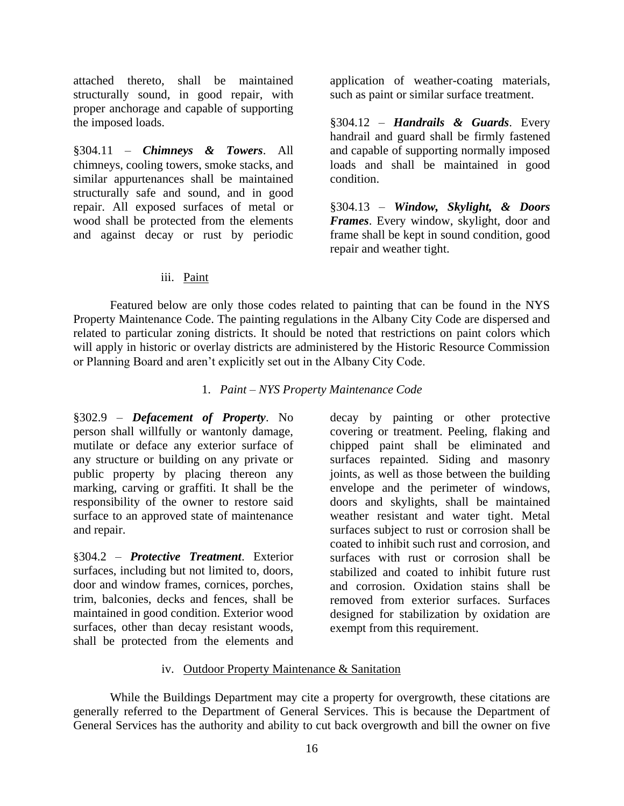attached thereto, shall be maintained structurally sound, in good repair, with proper anchorage and capable of supporting the imposed loads.

§304.11 – *Chimneys & Towers*. All chimneys, cooling towers, smoke stacks, and similar appurtenances shall be maintained structurally safe and sound, and in good repair. All exposed surfaces of metal or wood shall be protected from the elements and against decay or rust by periodic

application of weather-coating materials, such as paint or similar surface treatment.

§304.12 – *Handrails & Guards*. Every handrail and guard shall be firmly fastened and capable of supporting normally imposed loads and shall be maintained in good condition.

§304.13 – *Window, Skylight, & Doors Frames*. Every window, skylight, door and frame shall be kept in sound condition, good repair and weather tight.

# iii. Paint

<span id="page-18-0"></span>Featured below are only those codes related to painting that can be found in the NYS Property Maintenance Code. The painting regulations in the Albany City Code are dispersed and related to particular zoning districts. It should be noted that restrictions on paint colors which will apply in historic or overlay districts are administered by the Historic Resource Commission or Planning Board and aren't explicitly set out in the Albany City Code.

1. *Paint – NYS Property Maintenance Code* 

§302.9 – *Defacement of Property*. No person shall willfully or wantonly damage, mutilate or deface any exterior surface of any structure or building on any private or public property by placing thereon any marking, carving or graffiti. It shall be the responsibility of the owner to restore said surface to an approved state of maintenance and repair.

§304.2 – *Protective Treatment*. Exterior surfaces, including but not limited to, doors, door and window frames, cornices, porches, trim, balconies, decks and fences, shall be maintained in good condition. Exterior wood surfaces, other than decay resistant woods, shall be protected from the elements and

decay by painting or other protective covering or treatment. Peeling, flaking and chipped paint shall be eliminated and surfaces repainted. Siding and masonry joints, as well as those between the building envelope and the perimeter of windows, doors and skylights, shall be maintained weather resistant and water tight. Metal surfaces subject to rust or corrosion shall be coated to inhibit such rust and corrosion, and surfaces with rust or corrosion shall be stabilized and coated to inhibit future rust and corrosion. Oxidation stains shall be removed from exterior surfaces. Surfaces designed for stabilization by oxidation are exempt from this requirement.

# iv. Outdoor Property Maintenance & Sanitation

<span id="page-18-1"></span>While the Buildings Department may cite a property for overgrowth, these citations are generally referred to the Department of General Services. This is because the Department of General Services has the authority and ability to cut back overgrowth and bill the owner on five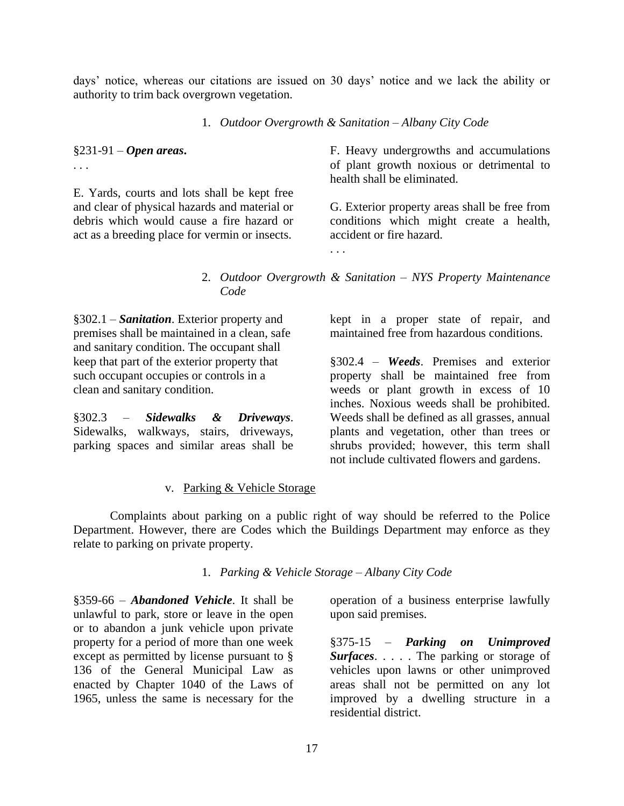days' notice, whereas our citations are issued on 30 days' notice and we lack the ability or authority to trim back overgrown vegetation.

1. *Outdoor Overgrowth & Sanitation – Albany City Code*

§231-91 – *Open areas***.** . . .

E. Yards, courts and lots shall be kept free and clear of physical hazards and material or debris which would cause a fire hazard or act as a breeding place for vermin or insects.

F. Heavy undergrowths and accumulations of plant growth noxious or detrimental to health shall be eliminated.

G. Exterior property areas shall be free from conditions which might create a health, accident or fire hazard.

2. *Outdoor Overgrowth & Sanitation – NYS Property Maintenance Code*

§302.1 – *Sanitation*. Exterior property and premises shall be maintained in a clean, safe and sanitary condition. The occupant shall keep that part of the exterior property that such occupant occupies or controls in a clean and sanitary condition.

§302.3 – *Sidewalks & Driveways*. Sidewalks, walkways, stairs, driveways, parking spaces and similar areas shall be

kept in a proper state of repair, and maintained free from hazardous conditions.

§302.4 – *Weeds*. Premises and exterior property shall be maintained free from weeds or plant growth in excess of 10 inches. Noxious weeds shall be prohibited. Weeds shall be defined as all grasses, annual plants and vegetation, other than trees or shrubs provided; however, this term shall not include cultivated flowers and gardens.

#### v. Parking & Vehicle Storage

<span id="page-19-0"></span>Complaints about parking on a public right of way should be referred to the Police Department. However, there are Codes which the Buildings Department may enforce as they relate to parking on private property.

1. *Parking & Vehicle Storage – Albany City Code*

§359-66 – *Abandoned Vehicle*. It shall be unlawful to park, store or leave in the open or to abandon a junk vehicle upon private property for a period of more than one week except as permitted by license pursuant to § 136 of the General Municipal Law as enacted by Chapter 1040 of the Laws of 1965, unless the same is necessary for the

operation of a business enterprise lawfully upon said premises.

§375-15 – *Parking on Unimproved Surfaces*. . . . . The parking or storage of vehicles upon lawns or other unimproved areas shall not be permitted on any lot improved by a dwelling structure in a residential district.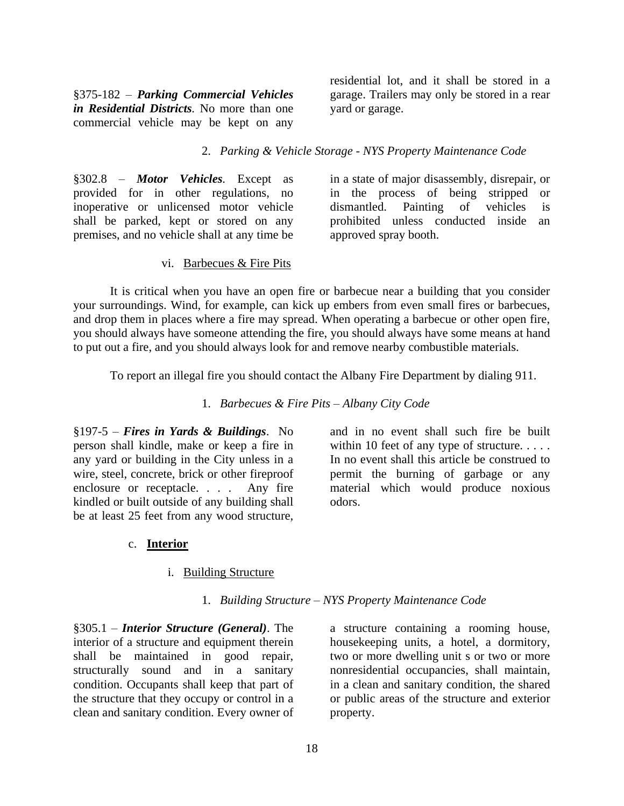§375-182 – *Parking Commercial Vehicles in Residential Districts.* No more than one commercial vehicle may be kept on any residential lot, and it shall be stored in a garage. Trailers may only be stored in a rear yard or garage.

#### 2. *Parking & Vehicle Storage - NYS Property Maintenance Code*

§302.8 – *Motor Vehicles.* Except as provided for in other regulations, no inoperative or unlicensed motor vehicle shall be parked, kept or stored on any premises, and no vehicle shall at any time be

in a state of major disassembly, disrepair, or in the process of being stripped or dismantled. Painting of vehicles is prohibited unless conducted inside an approved spray booth.

#### vi. Barbecues & Fire Pits

<span id="page-20-0"></span>It is critical when you have an open fire or barbecue near a building that you consider your surroundings. Wind, for example, can kick up embers from even small fires or barbecues, and drop them in places where a fire may spread. When operating a barbecue or other open fire, you should always have someone attending the fire, you should always have some means at hand to put out a fire, and you should always look for and remove nearby combustible materials.

To report an illegal fire you should contact the Albany Fire Department by dialing 911.

1. *Barbecues & Fire Pits – Albany City Code* 

§197-5 – *Fires in Yards & Buildings*. No person shall kindle, make or keep a fire in any yard or building in the City unless in a wire, steel, concrete, brick or other fireproof enclosure or receptacle. . . . Any fire kindled or built outside of any building shall be at least 25 feet from any wood structure,

and in no event shall such fire be built within 10 feet of any type of structure. . . . . In no event shall this article be construed to permit the burning of garbage or any material which would produce noxious odors.

#### <span id="page-20-1"></span>c. **Interior**

#### i. Building Structure

#### 1. *Building Structure – NYS Property Maintenance Code*

<span id="page-20-2"></span>§305.1 – *Interior Structure (General)*. The interior of a structure and equipment therein shall be maintained in good repair, structurally sound and in a sanitary condition. Occupants shall keep that part of the structure that they occupy or control in a clean and sanitary condition. Every owner of

a structure containing a rooming house, housekeeping units, a hotel, a dormitory, two or more dwelling unit s or two or more nonresidential occupancies, shall maintain, in a clean and sanitary condition, the shared or public areas of the structure and exterior property.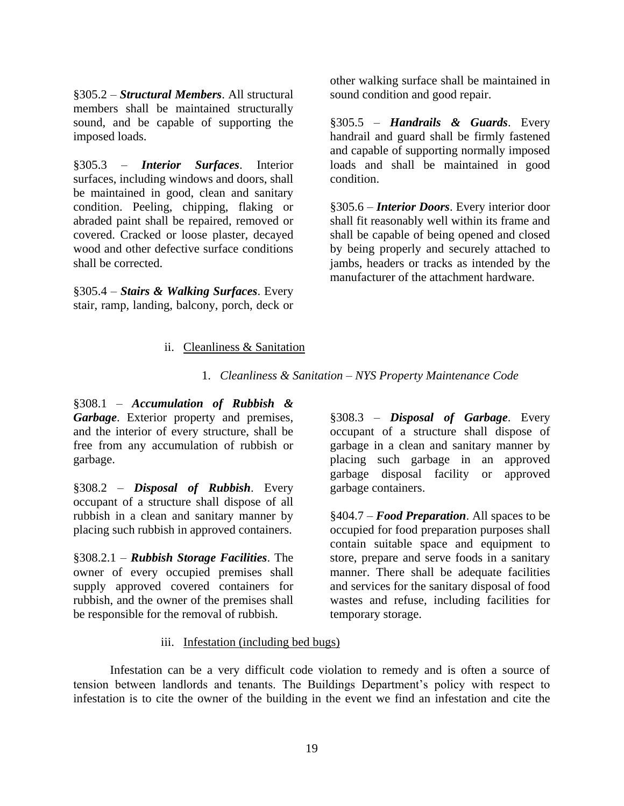§305.2 – *Structural Members*. All structural members shall be maintained structurally sound, and be capable of supporting the imposed loads.

§305.3 – *Interior Surfaces*. Interior surfaces, including windows and doors, shall be maintained in good, clean and sanitary condition. Peeling, chipping, flaking or abraded paint shall be repaired, removed or covered. Cracked or loose plaster, decayed wood and other defective surface conditions shall be corrected.

<span id="page-21-0"></span>§305.4 – *Stairs & Walking Surfaces*. Every stair, ramp, landing, balcony, porch, deck or other walking surface shall be maintained in sound condition and good repair.

§305.5 – *Handrails & Guards*. Every handrail and guard shall be firmly fastened and capable of supporting normally imposed loads and shall be maintained in good condition.

§305.6 – *Interior Doors*. Every interior door shall fit reasonably well within its frame and shall be capable of being opened and closed by being properly and securely attached to jambs, headers or tracks as intended by the manufacturer of the attachment hardware.

# ii. Cleanliness & Sanitation

1. *Cleanliness & Sanitation – NYS Property Maintenance Code* 

§308.1 – *Accumulation of Rubbish & Garbage*. Exterior property and premises, and the interior of every structure, shall be free from any accumulation of rubbish or garbage.

§308.2 – *Disposal of Rubbish*. Every occupant of a structure shall dispose of all rubbish in a clean and sanitary manner by placing such rubbish in approved containers.

§308.2.1 – *Rubbish Storage Facilities*. The owner of every occupied premises shall supply approved covered containers for rubbish, and the owner of the premises shall be responsible for the removal of rubbish.

§308.3 – *Disposal of Garbage*. Every occupant of a structure shall dispose of garbage in a clean and sanitary manner by placing such garbage in an approved garbage disposal facility or approved garbage containers.

§404.7 – *Food Preparation*. All spaces to be occupied for food preparation purposes shall contain suitable space and equipment to store, prepare and serve foods in a sanitary manner. There shall be adequate facilities and services for the sanitary disposal of food wastes and refuse, including facilities for temporary storage.

# iii. Infestation (including bed bugs)

<span id="page-21-1"></span>Infestation can be a very difficult code violation to remedy and is often a source of tension between landlords and tenants. The Buildings Department's policy with respect to infestation is to cite the owner of the building in the event we find an infestation and cite the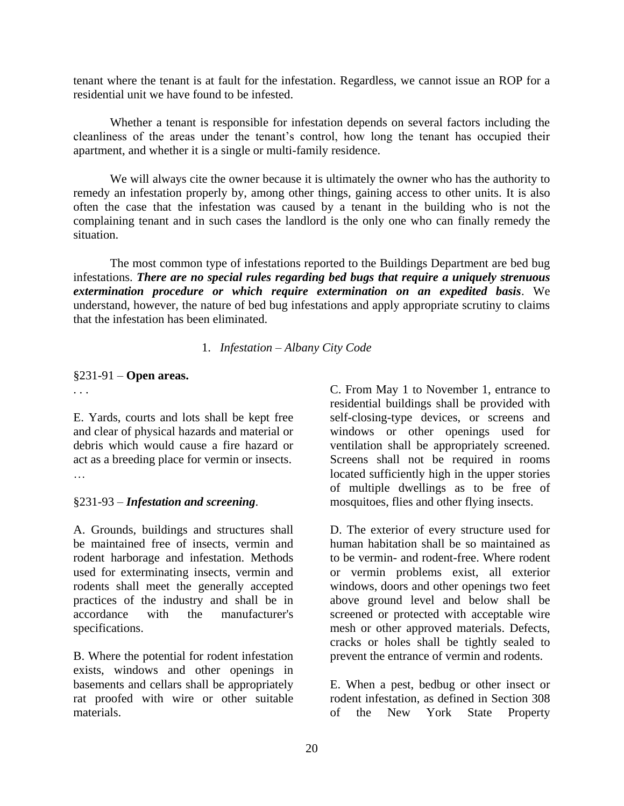tenant where the tenant is at fault for the infestation. Regardless, we cannot issue an ROP for a residential unit we have found to be infested.

Whether a tenant is responsible for infestation depends on several factors including the cleanliness of the areas under the tenant's control, how long the tenant has occupied their apartment, and whether it is a single or multi-family residence.

We will always cite the owner because it is ultimately the owner who has the authority to remedy an infestation properly by, among other things, gaining access to other units. It is also often the case that the infestation was caused by a tenant in the building who is not the complaining tenant and in such cases the landlord is the only one who can finally remedy the situation.

The most common type of infestations reported to the Buildings Department are bed bug infestations. *There are no special rules regarding bed bugs that require a uniquely strenuous extermination procedure or which require extermination on an expedited basis*. We understand, however, the nature of bed bug infestations and apply appropriate scrutiny to claims that the infestation has been eliminated.

1. *Infestation – Albany City Code*

#### §231-91 – **Open areas.**

. . .

E. Yards, courts and lots shall be kept free and clear of physical hazards and material or debris which would cause a fire hazard or act as a breeding place for vermin or insects. …

#### §231-93 – *Infestation and screening*.

A. Grounds, buildings and structures shall be maintained free of insects, vermin and rodent harborage and infestation. Methods used for exterminating insects, vermin and rodents shall meet the generally accepted practices of the industry and shall be in accordance with the manufacturer's specifications.

B. Where the potential for rodent infestation exists, windows and other openings in basements and cellars shall be appropriately rat proofed with wire or other suitable materials.

C. From May 1 to November 1, entrance to residential buildings shall be provided with self-closing-type devices, or screens and windows or other openings used for ventilation shall be appropriately screened. Screens shall not be required in rooms located sufficiently high in the upper stories of multiple dwellings as to be free of mosquitoes, flies and other flying insects.

D. The exterior of every structure used for human habitation shall be so maintained as to be vermin- and rodent-free. Where rodent or vermin problems exist, all exterior windows, doors and other openings two feet above ground level and below shall be screened or protected with acceptable wire mesh or other approved materials. Defects, cracks or holes shall be tightly sealed to prevent the entrance of vermin and rodents.

E. When a pest, bedbug or other insect or rodent infestation, as defined in Section 308 of the New York State Property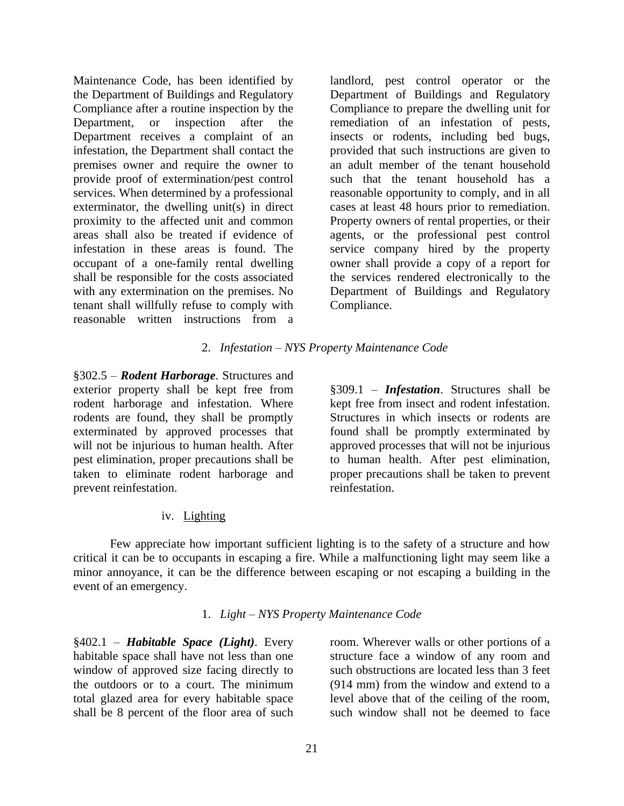Maintenance Code, has been identified by the Department of Buildings and Regulatory Compliance after a routine inspection by the Department, or inspection after the Department receives a complaint of an infestation, the Department shall contact the premises owner and require the owner to provide proof of extermination/pest control services. When determined by a professional exterminator, the dwelling unit(s) in direct proximity to the affected unit and common areas shall also be treated if evidence of infestation in these areas is found. The occupant of a one-family rental dwelling shall be responsible for the costs associated with any extermination on the premises. No tenant shall willfully refuse to comply with reasonable written instructions from a

landlord, pest control operator or the Department of Buildings and Regulatory Compliance to prepare the dwelling unit for remediation of an infestation of pests, insects or rodents, including bed bugs, provided that such instructions are given to an adult member of the tenant household such that the tenant household has a reasonable opportunity to comply, and in all cases at least 48 hours prior to remediation. Property owners of rental properties, or their agents, or the professional pest control service company hired by the property owner shall provide a copy of a report for the services rendered electronically to the Department of Buildings and Regulatory Compliance.

#### 2. *Infestation – NYS Property Maintenance Code*

§302.5 – *Rodent Harborage*. Structures and exterior property shall be kept free from rodent harborage and infestation. Where rodents are found, they shall be promptly exterminated by approved processes that will not be injurious to human health. After pest elimination, proper precautions shall be taken to eliminate rodent harborage and prevent reinfestation.

§309.1 – *Infestation*. Structures shall be kept free from insect and rodent infestation. Structures in which insects or rodents are found shall be promptly exterminated by approved processes that will not be injurious to human health. After pest elimination, proper precautions shall be taken to prevent reinfestation.

#### iv. Lighting

<span id="page-23-0"></span>Few appreciate how important sufficient lighting is to the safety of a structure and how critical it can be to occupants in escaping a fire. While a malfunctioning light may seem like a minor annoyance, it can be the difference between escaping or not escaping a building in the event of an emergency.

#### 1. *Light – NYS Property Maintenance Code*

§402.1 – *Habitable Space (Light)*. Every habitable space shall have not less than one window of approved size facing directly to the outdoors or to a court. The minimum total glazed area for every habitable space shall be 8 percent of the floor area of such

room. Wherever walls or other portions of a structure face a window of any room and such obstructions are located less than 3 feet (914 mm) from the window and extend to a level above that of the ceiling of the room, such window shall not be deemed to face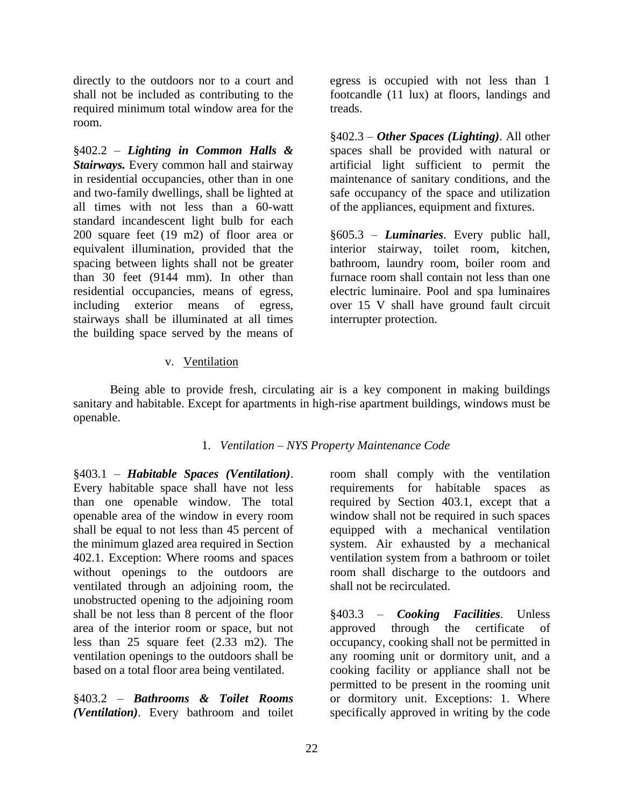directly to the outdoors nor to a court and shall not be included as contributing to the required minimum total window area for the room.

§402.2 – *Lighting in Common Halls & Stairways.* Every common hall and stairway in residential occupancies, other than in one and two-family dwellings, shall be lighted at all times with not less than a 60-watt standard incandescent light bulb for each 200 square feet (19 m2) of floor area or equivalent illumination, provided that the spacing between lights shall not be greater than 30 feet (9144 mm). In other than residential occupancies, means of egress, including exterior means of egress, stairways shall be illuminated at all times the building space served by the means of

egress is occupied with not less than 1 footcandle (11 lux) at floors, landings and treads.

§402.3 – *Other Spaces (Lighting)*. All other spaces shall be provided with natural or artificial light sufficient to permit the maintenance of sanitary conditions, and the safe occupancy of the space and utilization of the appliances, equipment and fixtures.

§605.3 – *Luminaries*. Every public hall, interior stairway, toilet room, kitchen, bathroom, laundry room, boiler room and furnace room shall contain not less than one electric luminaire. Pool and spa luminaires over 15 V shall have ground fault circuit interrupter protection.

# v. Ventilation

<span id="page-24-0"></span>Being able to provide fresh, circulating air is a key component in making buildings sanitary and habitable. Except for apartments in high-rise apartment buildings, windows must be openable.

# 1. *Ventilation – NYS Property Maintenance Code*

§403.1 – *Habitable Spaces (Ventilation)*. Every habitable space shall have not less than one openable window. The total openable area of the window in every room shall be equal to not less than 45 percent of the minimum glazed area required in Section 402.1. Exception: Where rooms and spaces without openings to the outdoors are ventilated through an adjoining room, the unobstructed opening to the adjoining room shall be not less than 8 percent of the floor area of the interior room or space, but not less than 25 square feet (2.33 m2). The ventilation openings to the outdoors shall be based on a total floor area being ventilated.

§403.2 – *Bathrooms & Toilet Rooms (Ventilation)*. Every bathroom and toilet room shall comply with the ventilation requirements for habitable spaces as required by Section 403.1, except that a window shall not be required in such spaces equipped with a mechanical ventilation system. Air exhausted by a mechanical ventilation system from a bathroom or toilet room shall discharge to the outdoors and shall not be recirculated.

§403.3 – *Cooking Facilities*. Unless approved through the certificate of occupancy, cooking shall not be permitted in any rooming unit or dormitory unit, and a cooking facility or appliance shall not be permitted to be present in the rooming unit or dormitory unit. Exceptions: 1. Where specifically approved in writing by the code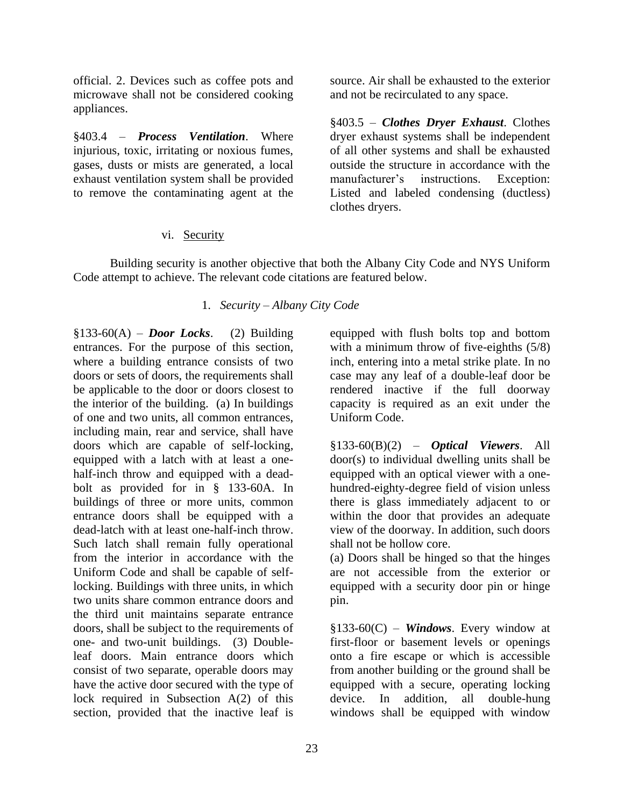official. 2. Devices such as coffee pots and microwave shall not be considered cooking appliances.

§403.4 – *Process Ventilation*. Where injurious, toxic, irritating or noxious fumes, gases, dusts or mists are generated, a local exhaust ventilation system shall be provided to remove the contaminating agent at the source. Air shall be exhausted to the exterior and not be recirculated to any space.

§403.5 – *Clothes Dryer Exhaust*. Clothes dryer exhaust systems shall be independent of all other systems and shall be exhausted outside the structure in accordance with the manufacturer's instructions. Exception: Listed and labeled condensing (ductless) clothes dryers.

# vi. Security

<span id="page-25-0"></span>Building security is another objective that both the Albany City Code and NYS Uniform Code attempt to achieve. The relevant code citations are featured below.

# 1. *Security – Albany City Code*

 $§133-60(A) - Door$  *Locks*. (2) Building entrances. For the purpose of this section, where a building entrance consists of two doors or sets of doors, the requirements shall be applicable to the door or doors closest to the interior of the building. (a) In buildings of one and two units, all common entrances, including main, rear and service, shall have doors which are capable of self-locking, equipped with a latch with at least a onehalf-inch throw and equipped with a deadbolt as provided for in § 133-60A. In buildings of three or more units, common entrance doors shall be equipped with a dead-latch with at least one-half-inch throw. Such latch shall remain fully operational from the interior in accordance with the Uniform Code and shall be capable of selflocking. Buildings with three units, in which two units share common entrance doors and the third unit maintains separate entrance doors, shall be subject to the requirements of one- and two-unit buildings. (3) Doubleleaf doors. Main entrance doors which consist of two separate, operable doors may have the active door secured with the type of lock required in Subsection A(2) of this section, provided that the inactive leaf is

equipped with flush bolts top and bottom with a minimum throw of five-eighths  $(5/8)$ inch, entering into a metal strike plate. In no case may any leaf of a double-leaf door be rendered inactive if the full doorway capacity is required as an exit under the Uniform Code.

§133-60(B)(2) – *Optical Viewers*. All door(s) to individual dwelling units shall be equipped with an optical viewer with a onehundred-eighty-degree field of vision unless there is glass immediately adjacent to or within the door that provides an adequate view of the doorway. In addition, such doors shall not be hollow core.

(a) Doors shall be hinged so that the hinges are not accessible from the exterior or equipped with a security door pin or hinge pin.

§133-60(C) – *Windows*. Every window at first-floor or basement levels or openings onto a fire escape or which is accessible from another building or the ground shall be equipped with a secure, operating locking device. In addition, all double-hung windows shall be equipped with window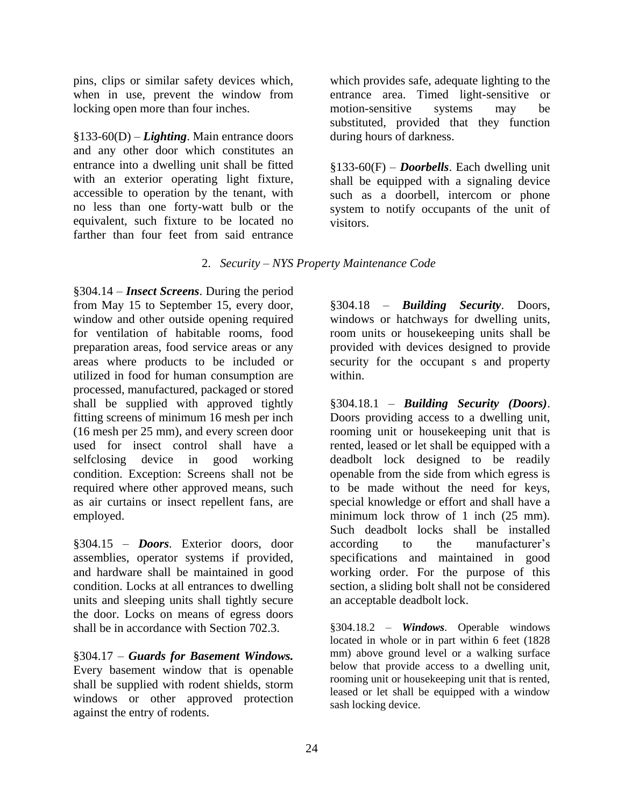pins, clips or similar safety devices which, when in use, prevent the window from locking open more than four inches.

§133-60(D) – *Lighting*. Main entrance doors and any other door which constitutes an entrance into a dwelling unit shall be fitted with an exterior operating light fixture, accessible to operation by the tenant, with no less than one forty-watt bulb or the equivalent, such fixture to be located no farther than four feet from said entrance

which provides safe, adequate lighting to the entrance area. Timed light-sensitive or motion-sensitive systems may be substituted, provided that they function during hours of darkness.

§133-60(F) – *Doorbells*. Each dwelling unit shall be equipped with a signaling device such as a doorbell, intercom or phone system to notify occupants of the unit of visitors.

# 2. *Security – NYS Property Maintenance Code*

§304.14 – *Insect Screens*. During the period from May 15 to September 15, every door, window and other outside opening required for ventilation of habitable rooms, food preparation areas, food service areas or any areas where products to be included or utilized in food for human consumption are processed, manufactured, packaged or stored shall be supplied with approved tightly fitting screens of minimum 16 mesh per inch (16 mesh per 25 mm), and every screen door used for insect control shall have a selfclosing device in good working condition. Exception: Screens shall not be required where other approved means, such as air curtains or insect repellent fans, are employed.

§304.15 – *Doors*. Exterior doors, door assemblies, operator systems if provided, and hardware shall be maintained in good condition. Locks at all entrances to dwelling units and sleeping units shall tightly secure the door. Locks on means of egress doors shall be in accordance with Section 702.3.

§304.17 – *Guards for Basement Windows.* Every basement window that is openable shall be supplied with rodent shields, storm windows or other approved protection against the entry of rodents.

§304.18 – *Building Security*. Doors, windows or hatchways for dwelling units, room units or housekeeping units shall be provided with devices designed to provide security for the occupant s and property within.

§304.18.1 – *Building Security (Doors)*. Doors providing access to a dwelling unit, rooming unit or housekeeping unit that is rented, leased or let shall be equipped with a deadbolt lock designed to be readily openable from the side from which egress is to be made without the need for keys, special knowledge or effort and shall have a minimum lock throw of 1 inch (25 mm). Such deadbolt locks shall be installed according to the manufacturer's specifications and maintained in good working order. For the purpose of this section, a sliding bolt shall not be considered an acceptable deadbolt lock.

§304.18.2 – *Windows*. Operable windows located in whole or in part within 6 feet (1828 mm) above ground level or a walking surface below that provide access to a dwelling unit, rooming unit or housekeeping unit that is rented, leased or let shall be equipped with a window sash locking device.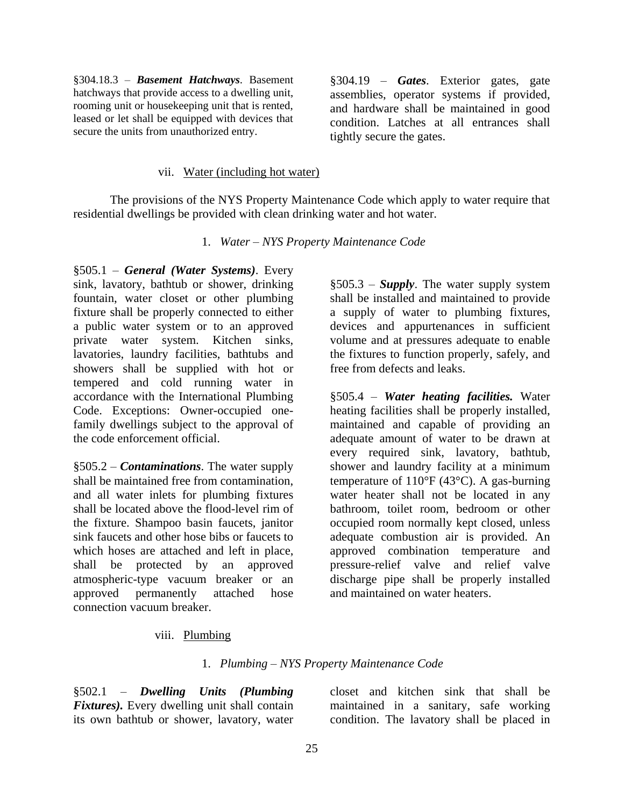§304.18.3 – *Basement Hatchways*. Basement hatchways that provide access to a dwelling unit, rooming unit or housekeeping unit that is rented, leased or let shall be equipped with devices that secure the units from unauthorized entry.

§304.19 – *Gates*. Exterior gates, gate assemblies, operator systems if provided, and hardware shall be maintained in good condition. Latches at all entrances shall tightly secure the gates.

#### vii. Water (including hot water)

<span id="page-27-0"></span>The provisions of the NYS Property Maintenance Code which apply to water require that residential dwellings be provided with clean drinking water and hot water.

1. *Water – NYS Property Maintenance Code*

§505.1 – *General (Water Systems)*. Every sink, lavatory, bathtub or shower, drinking fountain, water closet or other plumbing fixture shall be properly connected to either a public water system or to an approved private water system. Kitchen sinks, lavatories, laundry facilities, bathtubs and showers shall be supplied with hot or tempered and cold running water in accordance with the International Plumbing Code. Exceptions: Owner-occupied onefamily dwellings subject to the approval of the code enforcement official.

§505.2 – *Contaminations*. The water supply shall be maintained free from contamination, and all water inlets for plumbing fixtures shall be located above the flood-level rim of the fixture. Shampoo basin faucets, janitor sink faucets and other hose bibs or faucets to which hoses are attached and left in place, shall be protected by an approved atmospheric-type vacuum breaker or an approved permanently attached hose connection vacuum breaker.

§505.3 – *Supply*. The water supply system shall be installed and maintained to provide a supply of water to plumbing fixtures, devices and appurtenances in sufficient volume and at pressures adequate to enable the fixtures to function properly, safely, and free from defects and leaks.

§505.4 – *Water heating facilities.* Water heating facilities shall be properly installed, maintained and capable of providing an adequate amount of water to be drawn at every required sink, lavatory, bathtub, shower and laundry facility at a minimum temperature of  $110^{\circ}$ F (43<sup>o</sup>C). A gas-burning water heater shall not be located in any bathroom, toilet room, bedroom or other occupied room normally kept closed, unless adequate combustion air is provided. An approved combination temperature and pressure-relief valve and relief valve discharge pipe shall be properly installed and maintained on water heaters.

#### viii. Plumbing

#### 1. *Plumbing – NYS Property Maintenance Code*

<span id="page-27-1"></span>§502.1 – *Dwelling Units (Plumbing Fixtures).* Every dwelling unit shall contain its own bathtub or shower, lavatory, water

closet and kitchen sink that shall be maintained in a sanitary, safe working condition. The lavatory shall be placed in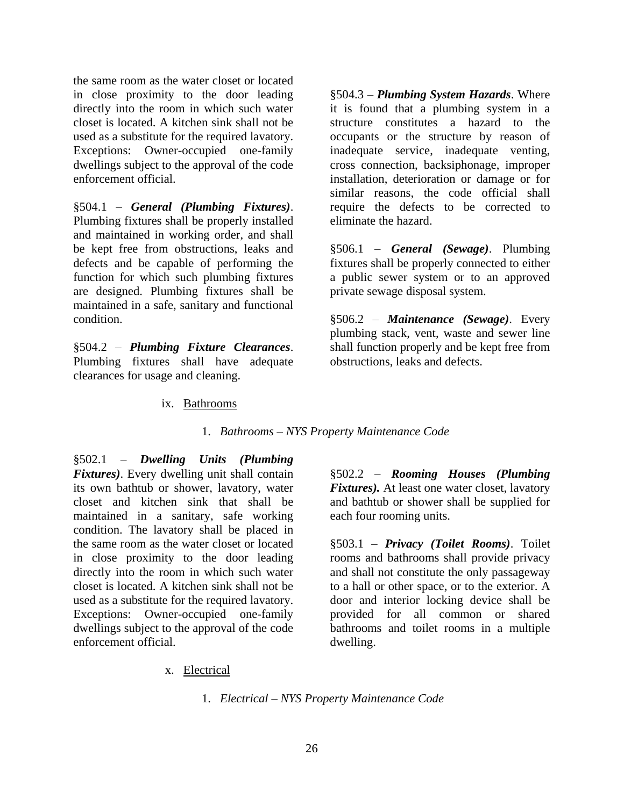the same room as the water closet or located in close proximity to the door leading directly into the room in which such water closet is located. A kitchen sink shall not be used as a substitute for the required lavatory. Exceptions: Owner-occupied one-family dwellings subject to the approval of the code enforcement official.

§504.1 – *General (Plumbing Fixtures)*. Plumbing fixtures shall be properly installed and maintained in working order, and shall be kept free from obstructions, leaks and defects and be capable of performing the function for which such plumbing fixtures are designed. Plumbing fixtures shall be maintained in a safe, sanitary and functional condition.

<span id="page-28-0"></span>§504.2 – *Plumbing Fixture Clearances*. Plumbing fixtures shall have adequate clearances for usage and cleaning.

§504.3 – *Plumbing System Hazards*. Where it is found that a plumbing system in a structure constitutes a hazard to the occupants or the structure by reason of inadequate service, inadequate venting, cross connection, backsiphonage, improper installation, deterioration or damage or for similar reasons, the code official shall require the defects to be corrected to eliminate the hazard.

§506.1 – *General (Sewage)*. Plumbing fixtures shall be properly connected to either a public sewer system or to an approved private sewage disposal system.

§506.2 – *Maintenance (Sewage)*. Every plumbing stack, vent, waste and sewer line shall function properly and be kept free from obstructions, leaks and defects.

# ix. Bathrooms

1. *Bathrooms – NYS Property Maintenance Code*

§502.1 – *Dwelling Units (Plumbing Fixtures)*. Every dwelling unit shall contain its own bathtub or shower, lavatory, water closet and kitchen sink that shall be maintained in a sanitary, safe working condition. The lavatory shall be placed in the same room as the water closet or located in close proximity to the door leading directly into the room in which such water closet is located. A kitchen sink shall not be used as a substitute for the required lavatory. Exceptions: Owner-occupied one-family dwellings subject to the approval of the code enforcement official.

§502.2 – *Rooming Houses (Plumbing Fixtures).* At least one water closet, lavatory and bathtub or shower shall be supplied for each four rooming units.

§503.1 – *Privacy (Toilet Rooms)*. Toilet rooms and bathrooms shall provide privacy and shall not constitute the only passageway to a hall or other space, or to the exterior. A door and interior locking device shall be provided for all common or shared bathrooms and toilet rooms in a multiple dwelling.

<span id="page-28-1"></span>x. Electrical

1. *Electrical – NYS Property Maintenance Code*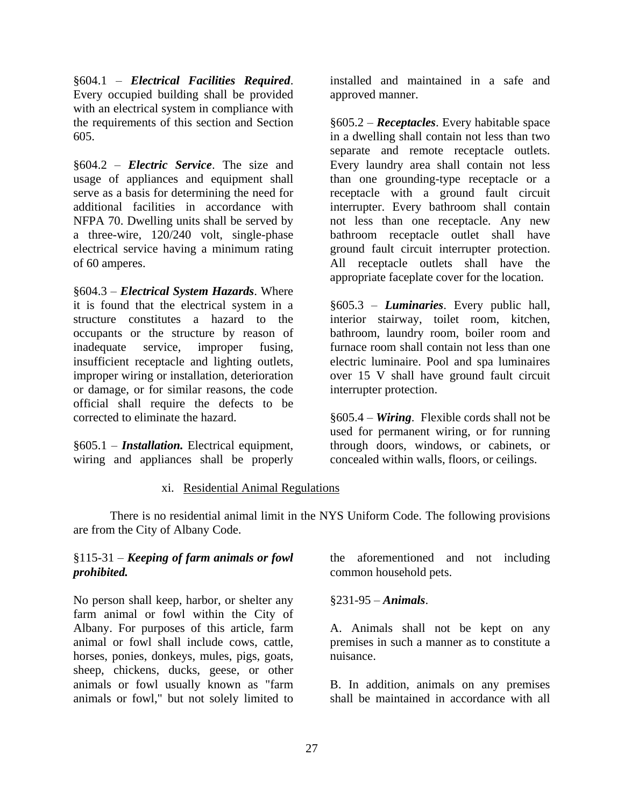§604.1 – *Electrical Facilities Required*. Every occupied building shall be provided with an electrical system in compliance with the requirements of this section and Section 605.

§604.2 – *Electric Service*. The size and usage of appliances and equipment shall serve as a basis for determining the need for additional facilities in accordance with NFPA 70. Dwelling units shall be served by a three-wire, 120/240 volt, single-phase electrical service having a minimum rating of 60 amperes.

§604.3 – *Electrical System Hazards*. Where it is found that the electrical system in a structure constitutes a hazard to the occupants or the structure by reason of inadequate service, improper fusing, insufficient receptacle and lighting outlets, improper wiring or installation, deterioration or damage, or for similar reasons, the code official shall require the defects to be corrected to eliminate the hazard.

§605.1 – *Installation.* Electrical equipment, wiring and appliances shall be properly installed and maintained in a safe and approved manner.

§605.2 – *Receptacles*. Every habitable space in a dwelling shall contain not less than two separate and remote receptacle outlets. Every laundry area shall contain not less than one grounding-type receptacle or a receptacle with a ground fault circuit interrupter. Every bathroom shall contain not less than one receptacle. Any new bathroom receptacle outlet shall have ground fault circuit interrupter protection. All receptacle outlets shall have the appropriate faceplate cover for the location.

§605.3 – *Luminaries*. Every public hall, interior stairway, toilet room, kitchen, bathroom, laundry room, boiler room and furnace room shall contain not less than one electric luminaire. Pool and spa luminaires over 15 V shall have ground fault circuit interrupter protection.

§605.4 – *Wiring*. Flexible cords shall not be used for permanent wiring, or for running through doors, windows, or cabinets, or concealed within walls, floors, or ceilings.

# xi. Residential Animal Regulations

<span id="page-29-0"></span>There is no residential animal limit in the NYS Uniform Code. The following provisions are from the City of Albany Code.

# §115-31 – *Keeping of farm animals or fowl prohibited.*

No person shall keep, harbor, or shelter any farm animal or fowl within the City of Albany. For purposes of this article, farm animal or fowl shall include cows, cattle, horses, ponies, donkeys, mules, pigs, goats, sheep, chickens, ducks, geese, or other animals or fowl usually known as "farm animals or fowl," but not solely limited to

the aforementioned and not including common household pets.

# §231-95 – *Animals*.

A. Animals shall not be kept on any premises in such a manner as to constitute a nuisance.

B. In addition, animals on any premises shall be maintained in accordance with all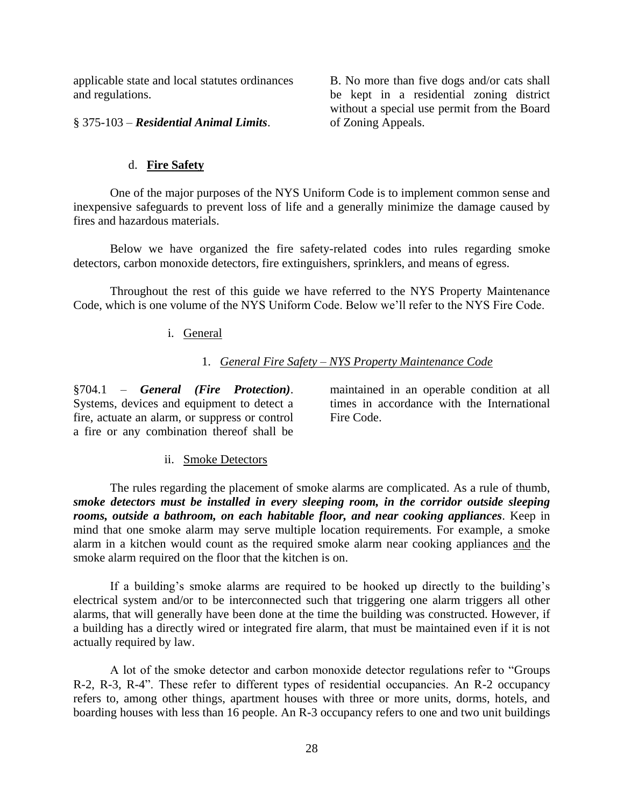applicable state and local statutes ordinances and regulations.

B. No more than five dogs and/or cats shall be kept in a residential zoning district without a special use permit from the Board of Zoning Appeals.

§ 375-103 – *Residential Animal Limits*.

#### d. **Fire Safety**

<span id="page-30-0"></span>One of the major purposes of the NYS Uniform Code is to implement common sense and inexpensive safeguards to prevent loss of life and a generally minimize the damage caused by fires and hazardous materials.

Below we have organized the fire safety-related codes into rules regarding smoke detectors, carbon monoxide detectors, fire extinguishers, sprinklers, and means of egress.

<span id="page-30-1"></span>Throughout the rest of this guide we have referred to the NYS Property Maintenance Code, which is one volume of the NYS Uniform Code. Below we'll refer to the NYS Fire Code.

#### i. General

#### 1. *General Fire Safety – NYS Property Maintenance Code*

§704.1 – *General (Fire Protection)*. Systems, devices and equipment to detect a fire, actuate an alarm, or suppress or control a fire or any combination thereof shall be

maintained in an operable condition at all times in accordance with the International Fire Code.

#### ii. Smoke Detectors

<span id="page-30-2"></span>The rules regarding the placement of smoke alarms are complicated. As a rule of thumb, *smoke detectors must be installed in every sleeping room, in the corridor outside sleeping rooms, outside a bathroom, on each habitable floor, and near cooking appliances*. Keep in mind that one smoke alarm may serve multiple location requirements. For example, a smoke alarm in a kitchen would count as the required smoke alarm near cooking appliances and the smoke alarm required on the floor that the kitchen is on.

If a building's smoke alarms are required to be hooked up directly to the building's electrical system and/or to be interconnected such that triggering one alarm triggers all other alarms, that will generally have been done at the time the building was constructed. However, if a building has a directly wired or integrated fire alarm, that must be maintained even if it is not actually required by law.

A lot of the smoke detector and carbon monoxide detector regulations refer to "Groups R-2, R-3, R-4". These refer to different types of residential occupancies. An R-2 occupancy refers to, among other things, apartment houses with three or more units, dorms, hotels, and boarding houses with less than 16 people. An R-3 occupancy refers to one and two unit buildings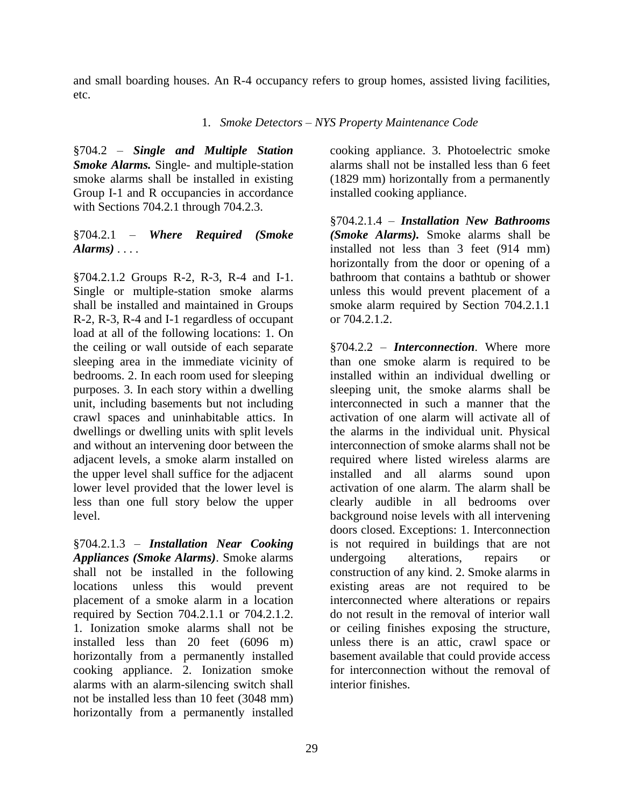and small boarding houses. An R-4 occupancy refers to group homes, assisted living facilities, etc.

1. *Smoke Detectors – NYS Property Maintenance Code*

§704.2 – *Single and Multiple Station Smoke Alarms.* Single- and multiple-station smoke alarms shall be installed in existing Group I-1 and R occupancies in accordance with Sections 704.2.1 through 704.2.3.

# §704.2.1 – *Where Required (Smoke Alarms)* . . . .

§704.2.1.2 Groups R-2, R-3, R-4 and I-1. Single or multiple-station smoke alarms shall be installed and maintained in Groups R-2, R-3, R-4 and I-1 regardless of occupant load at all of the following locations: 1. On the ceiling or wall outside of each separate sleeping area in the immediate vicinity of bedrooms. 2. In each room used for sleeping purposes. 3. In each story within a dwelling unit, including basements but not including crawl spaces and uninhabitable attics. In dwellings or dwelling units with split levels and without an intervening door between the adjacent levels, a smoke alarm installed on the upper level shall suffice for the adjacent lower level provided that the lower level is less than one full story below the upper level.

§704.2.1.3 – *Installation Near Cooking Appliances (Smoke Alarms)*. Smoke alarms shall not be installed in the following locations unless this would prevent placement of a smoke alarm in a location required by Section 704.2.1.1 or 704.2.1.2. 1. Ionization smoke alarms shall not be installed less than 20 feet (6096 m) horizontally from a permanently installed cooking appliance. 2. Ionization smoke alarms with an alarm-silencing switch shall not be installed less than 10 feet (3048 mm) horizontally from a permanently installed

cooking appliance. 3. Photoelectric smoke alarms shall not be installed less than 6 feet (1829 mm) horizontally from a permanently installed cooking appliance.

§704.2.1.4 – *Installation New Bathrooms (Smoke Alarms).* Smoke alarms shall be installed not less than 3 feet (914 mm) horizontally from the door or opening of a bathroom that contains a bathtub or shower unless this would prevent placement of a smoke alarm required by Section 704.2.1.1 or 704.2.1.2.

§704.2.2 – *Interconnection*. Where more than one smoke alarm is required to be installed within an individual dwelling or sleeping unit, the smoke alarms shall be interconnected in such a manner that the activation of one alarm will activate all of the alarms in the individual unit. Physical interconnection of smoke alarms shall not be required where listed wireless alarms are installed and all alarms sound upon activation of one alarm. The alarm shall be clearly audible in all bedrooms over background noise levels with all intervening doors closed. Exceptions: 1. Interconnection is not required in buildings that are not undergoing alterations, repairs or construction of any kind. 2. Smoke alarms in existing areas are not required to be interconnected where alterations or repairs do not result in the removal of interior wall or ceiling finishes exposing the structure, unless there is an attic, crawl space or basement available that could provide access for interconnection without the removal of interior finishes.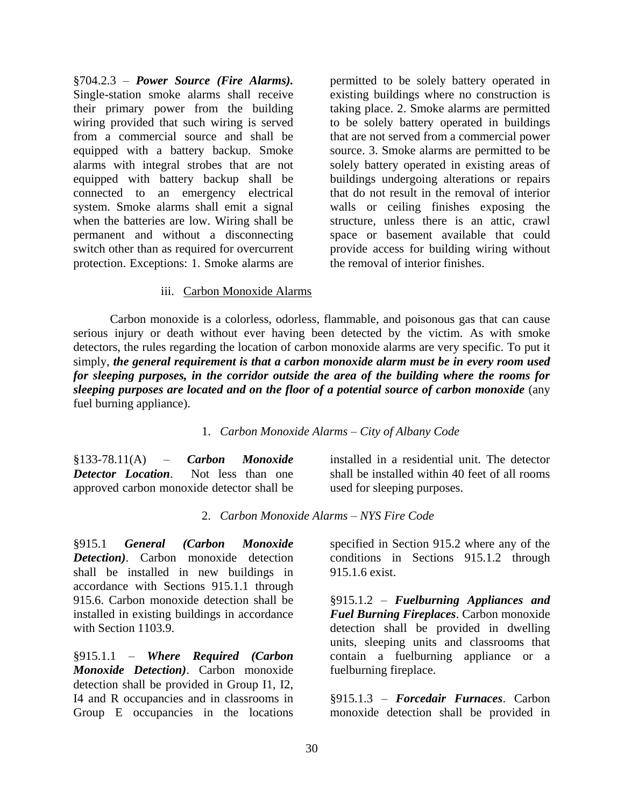§704.2.3 – *Power Source (Fire Alarms).*  Single-station smoke alarms shall receive their primary power from the building wiring provided that such wiring is served from a commercial source and shall be equipped with a battery backup. Smoke alarms with integral strobes that are not equipped with battery backup shall be connected to an emergency electrical system. Smoke alarms shall emit a signal when the batteries are low. Wiring shall be permanent and without a disconnecting switch other than as required for overcurrent protection. Exceptions: 1. Smoke alarms are

permitted to be solely battery operated in existing buildings where no construction is taking place. 2. Smoke alarms are permitted to be solely battery operated in buildings that are not served from a commercial power source. 3. Smoke alarms are permitted to be solely battery operated in existing areas of buildings undergoing alterations or repairs that do not result in the removal of interior walls or ceiling finishes exposing the structure, unless there is an attic, crawl space or basement available that could provide access for building wiring without the removal of interior finishes.

#### iii. Carbon Monoxide Alarms

<span id="page-32-0"></span>Carbon monoxide is a colorless, odorless, flammable, and poisonous gas that can cause serious injury or death without ever having been detected by the victim. As with smoke detectors, the rules regarding the location of carbon monoxide alarms are very specific. To put it simply, *the general requirement is that a carbon monoxide alarm must be in every room used for sleeping purposes, in the corridor outside the area of the building where the rooms for sleeping purposes are located and on the floor of a potential source of carbon monoxide* (any fuel burning appliance).

#### 1. *Carbon Monoxide Alarms – City of Albany Code*

§133-78.11(A) – *Carbon Monoxide Detector Location*. Not less than one approved carbon monoxide detector shall be

installed in a residential unit. The detector shall be installed within 40 feet of all rooms used for sleeping purposes.

#### 2. *Carbon Monoxide Alarms – NYS Fire Code*

§915.1 *General (Carbon Monoxide Detection)*. Carbon monoxide detection shall be installed in new buildings in accordance with Sections 915.1.1 through 915.6. Carbon monoxide detection shall be installed in existing buildings in accordance with Section 1103.9.

§915.1.1 – *Where Required (Carbon Monoxide Detection)*. Carbon monoxide detection shall be provided in Group I1, I2, I4 and R occupancies and in classrooms in Group E occupancies in the locations

specified in Section 915.2 where any of the conditions in Sections 915.1.2 through 915.1.6 exist.

§915.1.2 – *Fuelburning Appliances and Fuel Burning Fireplaces*. Carbon monoxide detection shall be provided in dwelling units, sleeping units and classrooms that contain a fuelburning appliance or a fuelburning fireplace.

§915.1.3 – *Forcedair Furnaces*. Carbon monoxide detection shall be provided in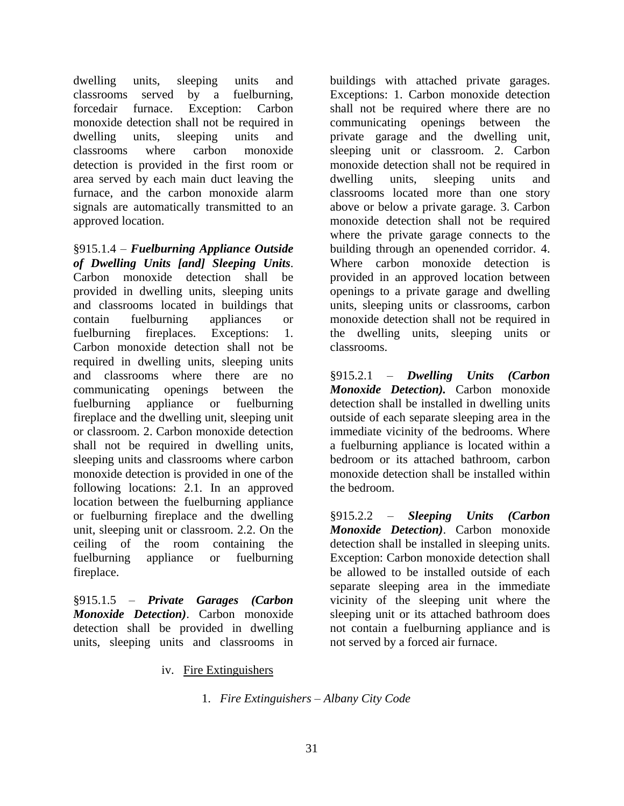dwelling units, sleeping units and classrooms served by a fuelburning, forcedair furnace. Exception: Carbon monoxide detection shall not be required in dwelling units, sleeping units and classrooms where carbon monoxide detection is provided in the first room or area served by each main duct leaving the furnace, and the carbon monoxide alarm signals are automatically transmitted to an approved location.

§915.1.4 – *Fuelburning Appliance Outside of Dwelling Units [and] Sleeping Units*. Carbon monoxide detection shall be provided in dwelling units, sleeping units and classrooms located in buildings that contain fuelburning appliances or fuelburning fireplaces. Exceptions: 1. Carbon monoxide detection shall not be required in dwelling units, sleeping units and classrooms where there are no communicating openings between the fuelburning appliance or fuelburning fireplace and the dwelling unit, sleeping unit or classroom. 2. Carbon monoxide detection shall not be required in dwelling units, sleeping units and classrooms where carbon monoxide detection is provided in one of the following locations: 2.1. In an approved location between the fuelburning appliance or fuelburning fireplace and the dwelling unit, sleeping unit or classroom. 2.2. On the ceiling of the room containing the fuelburning appliance or fuelburning fireplace.

<span id="page-33-0"></span>§915.1.5 – *Private Garages (Carbon Monoxide Detection)*. Carbon monoxide detection shall be provided in dwelling units, sleeping units and classrooms in buildings with attached private garages. Exceptions: 1. Carbon monoxide detection shall not be required where there are no communicating openings between the private garage and the dwelling unit, sleeping unit or classroom. 2. Carbon monoxide detection shall not be required in dwelling units, sleeping units and classrooms located more than one story above or below a private garage. 3. Carbon monoxide detection shall not be required where the private garage connects to the building through an openended corridor. 4. Where carbon monoxide detection is provided in an approved location between openings to a private garage and dwelling units, sleeping units or classrooms, carbon monoxide detection shall not be required in the dwelling units, sleeping units or classrooms.

§915.2.1 – *Dwelling Units (Carbon Monoxide Detection).* Carbon monoxide detection shall be installed in dwelling units outside of each separate sleeping area in the immediate vicinity of the bedrooms. Where a fuelburning appliance is located within a bedroom or its attached bathroom, carbon monoxide detection shall be installed within the bedroom.

§915.2.2 – *Sleeping Units (Carbon Monoxide Detection)*. Carbon monoxide detection shall be installed in sleeping units. Exception: Carbon monoxide detection shall be allowed to be installed outside of each separate sleeping area in the immediate vicinity of the sleeping unit where the sleeping unit or its attached bathroom does not contain a fuelburning appliance and is not served by a forced air furnace.

iv. Fire Extinguishers

1. *Fire Extinguishers – Albany City Code*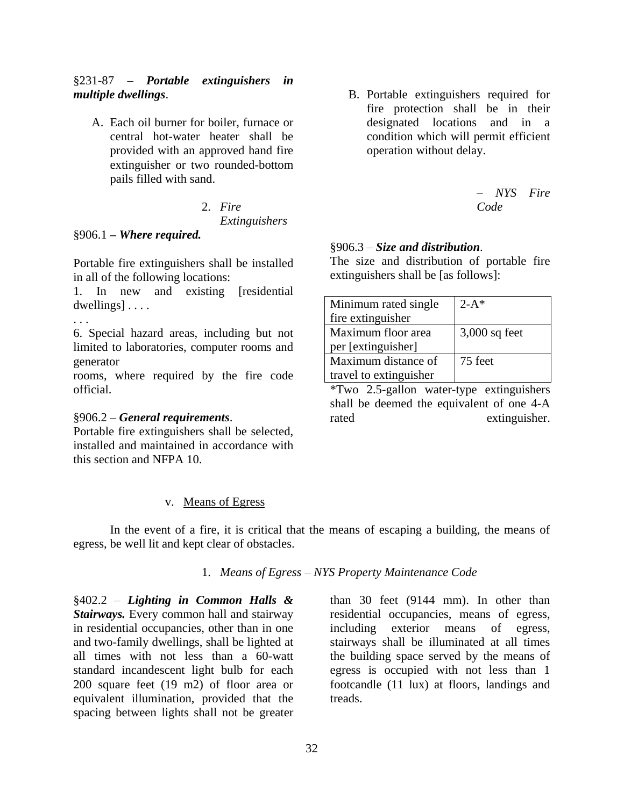#### §231-87 *– Portable extinguishers in multiple dwellings*.

A. Each oil burner for boiler, furnace or central hot-water heater shall be provided with an approved hand fire extinguisher or two rounded-bottom pails filled with sand.

# 2. *Fire Extinguishers*

#### §906.1 **–** *Where required.*

Portable fire extinguishers shall be installed in all of the following locations:

1. In new and existing [residential dwellings] . . . .

. . .

6. Special hazard areas, including but not limited to laboratories, computer rooms and generator

rooms, where required by the fire code official.

#### §906.2 – *General requirements*.

Portable fire extinguishers shall be selected, installed and maintained in accordance with this section and NFPA 10.

#### v. Means of Egress

<span id="page-34-0"></span>In the event of a fire, it is critical that the means of escaping a building, the means of egress, be well lit and kept clear of obstacles.

#### 1. *Means of Egress – NYS Property Maintenance Code*

§402.2 – *Lighting in Common Halls & Stairways.* Every common hall and stairway in residential occupancies, other than in one and two-family dwellings, shall be lighted at all times with not less than a 60-watt standard incandescent light bulb for each 200 square feet (19 m2) of floor area or equivalent illumination, provided that the spacing between lights shall not be greater

B. Portable extinguishers required for fire protection shall be in their designated locations and in a condition which will permit efficient operation without delay.

> *– NYS Fire Code*

#### §906.3 – *Size and distribution*.

The size and distribution of portable fire extinguishers shall be [as follows]:

| Minimum rated single   | $2 - A^*$       |
|------------------------|-----------------|
| fire extinguisher      |                 |
| Maximum floor area     | $3,000$ sq feet |
| per [extinguisher]     |                 |
| Maximum distance of    | 75 feet         |
| travel to extinguisher |                 |

\*Two 2.5-gallon water-type extinguishers shall be deemed the equivalent of one 4-A rated extinguisher.

than 30 feet (9144 mm). In other than residential occupancies, means of egress, including exterior means of egress, stairways shall be illuminated at all times the building space served by the means of egress is occupied with not less than 1 footcandle (11 lux) at floors, landings and treads.